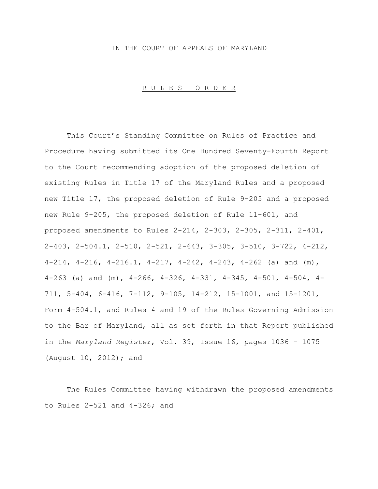### IN THE COURT OF APPEALS OF MARYLAND

### R U L E S O R D E R

This Court's Standing Committee on Rules of Practice and Procedure having submitted its One Hundred Seventy-Fourth Report to the Court recommending adoption of the proposed deletion of existing Rules in Title 17 of the Maryland Rules and a proposed new Title 17, the proposed deletion of Rule 9-205 and a proposed new Rule 9-205, the proposed deletion of Rule 11-601, and proposed amendments to Rules 2-214, 2-303, 2-305, 2-311, 2-401, 2-403, 2-504.1, 2-510, 2-521, 2-643, 3-305, 3-510, 3-722, 4-212, 4-214, 4-216, 4-216.1, 4-217, 4-242, 4-243, 4-262 (a) and  $(m)$ , 4-263 (a) and (m), 4-266, 4-326, 4-331, 4-345, 4-501, 4-504, 4- 711, 5-404, 6-416, 7-112, 9-105, 14-212, 15-1001, and 15-1201, Form 4-504.1, and Rules 4 and 19 of the Rules Governing Admission to the Bar of Maryland, all as set forth in that Report published in the *Maryland Register*, Vol. 39, Issue 16, pages 1036 - 1075 (August 10, 2012); and

The Rules Committee having withdrawn the proposed amendments to Rules 2-521 and 4-326; and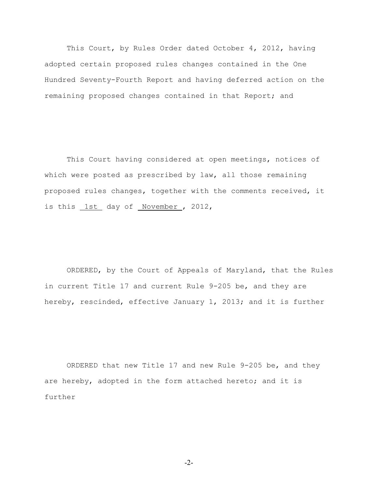This Court, by Rules Order dated October 4, 2012, having adopted certain proposed rules changes contained in the One Hundred Seventy-Fourth Report and having deferred action on the remaining proposed changes contained in that Report; and

This Court having considered at open meetings, notices of which were posted as prescribed by law, all those remaining proposed rules changes, together with the comments received, it is this <u>1st</u> day of November, 2012,

ORDERED, by the Court of Appeals of Maryland, that the Rules in current Title 17 and current Rule 9-205 be, and they are hereby, rescinded, effective January 1, 2013; and it is further

ORDERED that new Title 17 and new Rule 9-205 be, and they are hereby, adopted in the form attached hereto; and it is further

-2-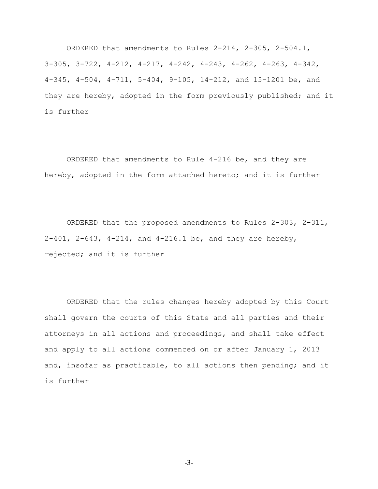ORDERED that amendments to Rules 2-214, 2-305, 2-504.1, 3-305, 3-722, 4-212, 4-217, 4-242, 4-243, 4-262, 4-263, 4-342, 4-345, 4-504, 4-711, 5-404, 9-105, 14-212, and 15-1201 be, and they are hereby, adopted in the form previously published; and it is further

ORDERED that amendments to Rule 4-216 be, and they are hereby, adopted in the form attached hereto; and it is further

ORDERED that the proposed amendments to Rules 2-303, 2-311, 2-401, 2-643, 4-214, and 4-216.1 be, and they are hereby, rejected; and it is further

ORDERED that the rules changes hereby adopted by this Court shall govern the courts of this State and all parties and their attorneys in all actions and proceedings, and shall take effect and apply to all actions commenced on or after January 1, 2013 and, insofar as practicable, to all actions then pending; and it is further

-3-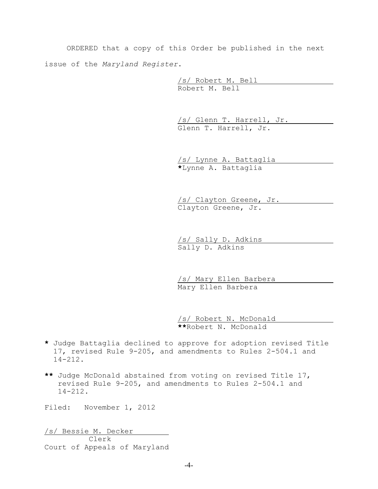ORDERED that a copy of this Order be published in the next issue of the *Maryland Register*.

> /s/ Robert M. Bell Robert M. Bell

/s/ Glenn T. Harrell, Jr. Glenn T. Harrell, Jr.

/s/ Lynne A. Battaglia **\***Lynne A. Battaglia

/s/ Clayton Greene, Jr. Clayton Greene, Jr.

/s/ Sally D. Adkins Sally D. Adkins

 /s/ Mary Ellen Barbera Mary Ellen Barbera

/s/ Robert N. McDonald **\*\***Robert N. McDonald

- **\*** Judge Battaglia declined to approve for adoption revised Title 17, revised Rule 9-205, and amendments to Rules 2-504.1 and 14-212.
- **\*\*** Judge McDonald abstained from voting on revised Title 17, revised Rule 9-205, and amendments to Rules 2-504.1 and 14-212.

Filed: November 1, 2012

/s/ Bessie M. Decker Clerk Court of Appeals of Maryland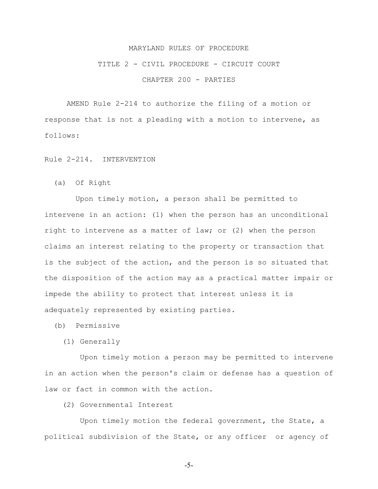# TITLE 2 - CIVIL PROCEDURE - CIRCUIT COURT

CHAPTER 200 - PARTIES

AMEND Rule 2-214 to authorize the filing of a motion or response that is not a pleading with a motion to intervene, as follows:

Rule 2-214. INTERVENTION

(a) Of Right

 Upon timely motion, a person shall be permitted to intervene in an action: (1) when the person has an unconditional right to intervene as a matter of law; or (2) when the person claims an interest relating to the property or transaction that is the subject of the action, and the person is so situated that the disposition of the action may as a practical matter impair or impede the ability to protect that interest unless it is adequately represented by existing parties.

(b) Permissive

(1) Generally

 Upon timely motion a person may be permitted to intervene in an action when the person's claim or defense has a question of law or fact in common with the action.

(2) Governmental Interest

 Upon timely motion the federal government, the State, a political subdivision of the State, or any officer or agency of

-5-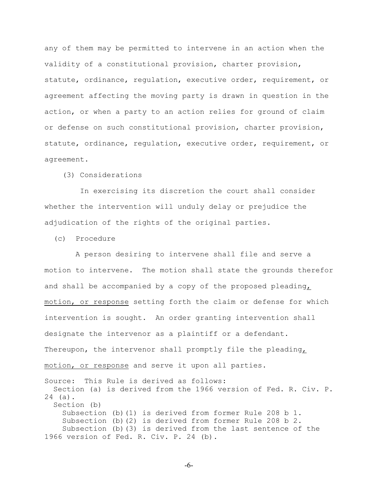any of them may be permitted to intervene in an action when the validity of a constitutional provision, charter provision, statute, ordinance, regulation, executive order, requirement, or agreement affecting the moving party is drawn in question in the action, or when a party to an action relies for ground of claim or defense on such constitutional provision, charter provision, statute, ordinance, regulation, executive order, requirement, or agreement.

(3) Considerations

 In exercising its discretion the court shall consider whether the intervention will unduly delay or prejudice the adjudication of the rights of the original parties.

(c) Procedure

 A person desiring to intervene shall file and serve a motion to intervene. The motion shall state the grounds therefor and shall be accompanied by a copy of the proposed pleading, motion, or response setting forth the claim or defense for which intervention is sought. An order granting intervention shall designate the intervenor as a plaintiff or a defendant. Thereupon, the intervenor shall promptly file the pleading, motion, or response and serve it upon all parties. Source: This Rule is derived as follows: Section (a) is derived from the 1966 version of Fed. R. Civ. P. 24 (a). Section (b)

Subsection (b)(1) is derived from former Rule 208 b 1. Subsection (b)(2) is derived from former Rule 208 b 2. Subsection (b)(3) is derived from the last sentence of the 1966 version of Fed. R. Civ. P. 24 (b).

-6-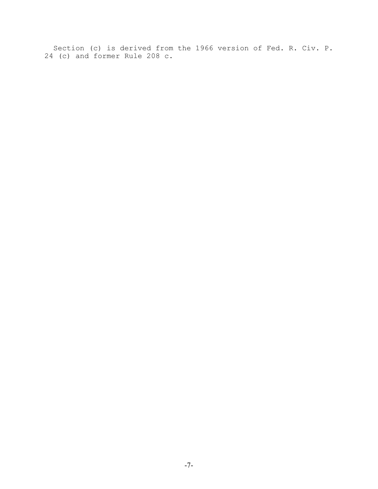Section (c) is derived from the 1966 version of Fed. R. Civ. P. 24 (c) and former Rule 208 c.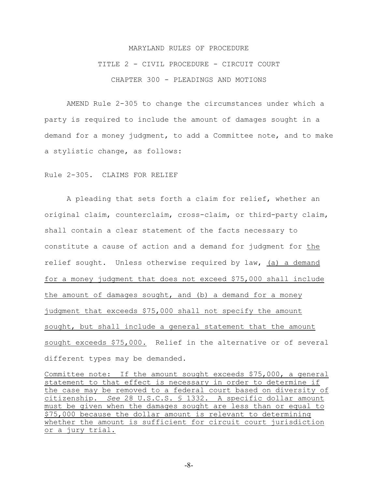# MARYLAND RULES OF PROCEDURE TITLE 2 - CIVIL PROCEDURE - CIRCUIT COURT CHAPTER 300 - PLEADINGS AND MOTIONS

AMEND Rule 2-305 to change the circumstances under which a party is required to include the amount of damages sought in a demand for a money judgment, to add a Committee note, and to make a stylistic change, as follows:

#### Rule 2-305. CLAIMS FOR RELIEF

A pleading that sets forth a claim for relief, whether an original claim, counterclaim, cross-claim, or third-party claim, shall contain a clear statement of the facts necessary to constitute a cause of action and a demand for judgment for the relief sought.Unless otherwise required by law, (a) a demand for a money judgment that does not exceed \$75,000 shall include the amount of damages sought, and (b) a demand for a money judgment that exceeds \$75,000 shall not specify the amount sought, but shall include a general statement that the amount sought exceeds \$75,000. Relief in the alternative or of several different types may be demanded.

Committee note: If the amount sought exceeds \$75,000, a general statement to that effect is necessary in order to determine if the case may be removed to a federal court based on diversity of citizenship. *See* 28 U.S.C.S. § 1332. A specific dollar amount must be given when the damages sought are less than or equal to \$75,000 because the dollar amount is relevant to determining whether the amount is sufficient for circuit court jurisdiction or a jury trial.

-8-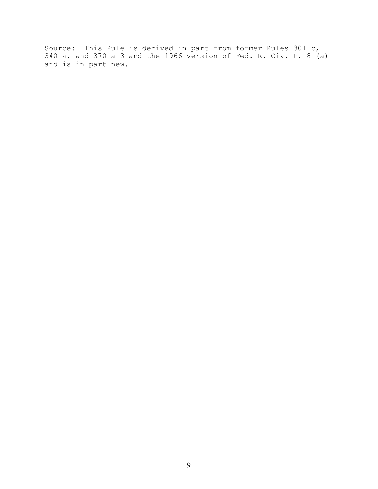Source: This Rule is derived in part from former Rules 301 c, 340 a, and 370 a 3 and the 1966 version of Fed. R. Civ. P. 8 (a) and is in part new.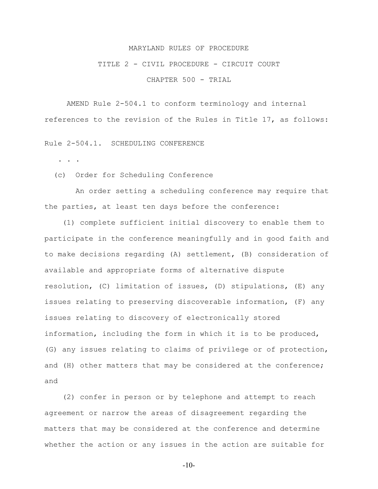### TITLE 2 - CIVIL PROCEDURE - CIRCUIT COURT

CHAPTER 500 - TRIAL

AMEND Rule 2-504.1 to conform terminology and internal references to the revision of the Rules in Title 17, as follows:

Rule 2-504.1. SCHEDULING CONFERENCE

. . .

(c) Order for Scheduling Conference

 An order setting a scheduling conference may require that the parties, at least ten days before the conference:

 (1) complete sufficient initial discovery to enable them to participate in the conference meaningfully and in good faith and to make decisions regarding (A) settlement, (B) consideration of available and appropriate forms of alternative dispute resolution, (C) limitation of issues, (D) stipulations, (E) any issues relating to preserving discoverable information, (F) any issues relating to discovery of electronically stored information, including the form in which it is to be produced, (G) any issues relating to claims of privilege or of protection, and (H) other matters that may be considered at the conference; and

 (2) confer in person or by telephone and attempt to reach agreement or narrow the areas of disagreement regarding the matters that may be considered at the conference and determine whether the action or any issues in the action are suitable for

-10-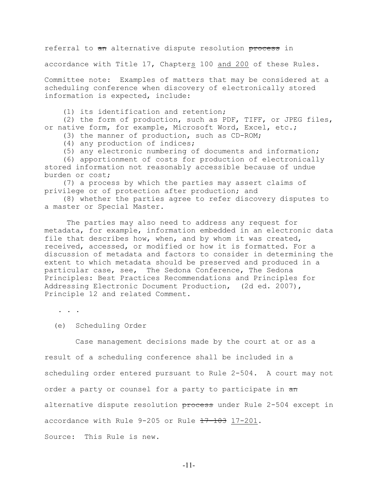referral to  $\pi$  alternative dispute resolution process in

accordance with Title 17, Chapters 100 and 200 of these Rules.

Committee note: Examples of matters that may be considered at a scheduling conference when discovery of electronically stored information is expected, include:

(1) its identification and retention;

 (2) the form of production, such as PDF, TIFF, or JPEG files, or native form, for example, Microsoft Word, Excel, etc.;

- (3) the manner of production, such as CD-ROM;
- (4) any production of indices;
- (5) any electronic numbering of documents and information;

 (6) apportionment of costs for production of electronically stored information not reasonably accessible because of undue burden or cost;

 (7) a process by which the parties may assert claims of privilege or of protection after production; and

 (8) whether the parties agree to refer discovery disputes to a master or Special Master.

The parties may also need to address any request for metadata, for example, information embedded in an electronic data file that describes how, when, and by whom it was created, received, accessed, or modified or how it is formatted. For a discussion of metadata and factors to consider in determining the extent to which metadata should be preserved and produced in a particular case, see, The Sedona Conference, The Sedona Principles: Best Practices Recommendations and Principles for Addressing Electronic Document Production, (2d ed. 2007), Principle 12 and related Comment.

. . .

(e) Scheduling Order

 Case management decisions made by the court at or as a result of a scheduling conference shall be included in a scheduling order entered pursuant to Rule 2-504. A court may not order a party or counsel for a party to participate in  $\frac{1}{2}$ alternative dispute resolution process under Rule 2-504 except in accordance with Rule 9-205 or Rule 17-103 17-201. Source: This Rule is new.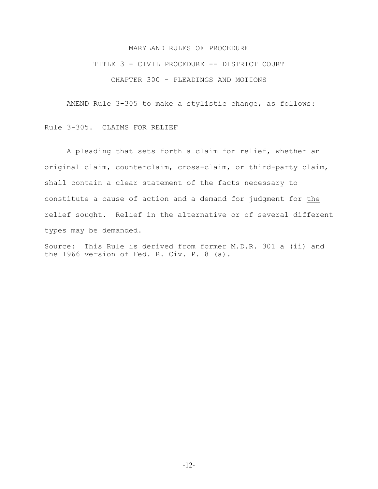TITLE 3 - CIVIL PROCEDURE -- DISTRICT COURT

CHAPTER 300 - PLEADINGS AND MOTIONS

AMEND Rule 3-305 to make a stylistic change, as follows:

Rule 3-305. CLAIMS FOR RELIEF

A pleading that sets forth a claim for relief, whether an original claim, counterclaim, cross-claim, or third-party claim, shall contain a clear statement of the facts necessary to constitute a cause of action and a demand for judgment for the relief sought. Relief in the alternative or of several different types may be demanded.

Source: This Rule is derived from former M.D.R. 301 a (ii) and the 1966 version of Fed. R. Civ. P. 8 (a).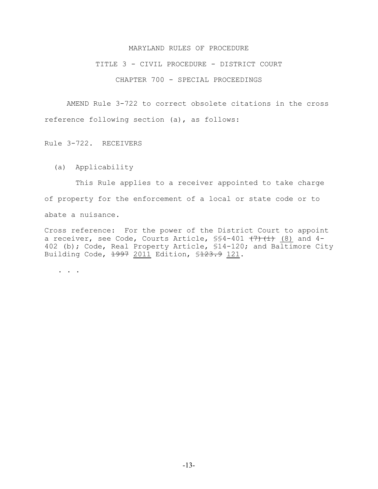#### TITLE 3 - CIVIL PROCEDURE - DISTRICT COURT

## CHAPTER 700 - SPECIAL PROCEEDINGS

AMEND Rule 3-722 to correct obsolete citations in the cross reference following section (a), as follows:

Rule 3-722. RECEIVERS

(a) Applicability

 This Rule applies to a receiver appointed to take charge of property for the enforcement of a local or state code or to abate a nuisance.

Cross reference: For the power of the District Court to appoint a receiver, see Code, Courts Article,  $\S$ \$4-401  $(7)$   $(i)$  (8) and 4-402 (b); Code, Real Property Article, \$14-120; and Baltimore City Building Code, 1997 2011 Edition, \$123.9 121.

. . .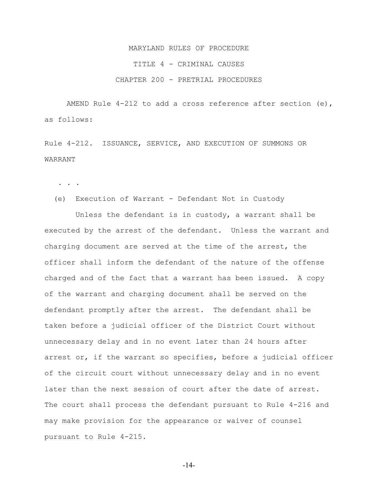# MARYLAND RULES OF PROCEDURE TITLE 4 - CRIMINAL CAUSES CHAPTER 200 - PRETRIAL PROCEDURES

AMEND Rule  $4-212$  to add a cross reference after section (e), as follows:

Rule 4-212. ISSUANCE, SERVICE, AND EXECUTION OF SUMMONS OR WARRANT

. . .

(e) Execution of Warrant - Defendant Not in Custody

 Unless the defendant is in custody, a warrant shall be executed by the arrest of the defendant. Unless the warrant and charging document are served at the time of the arrest, the officer shall inform the defendant of the nature of the offense charged and of the fact that a warrant has been issued. A copy of the warrant and charging document shall be served on the defendant promptly after the arrest. The defendant shall be taken before a judicial officer of the District Court without unnecessary delay and in no event later than 24 hours after arrest or, if the warrant so specifies, before a judicial officer of the circuit court without unnecessary delay and in no event later than the next session of court after the date of arrest. The court shall process the defendant pursuant to Rule 4-216 and may make provision for the appearance or waiver of counsel pursuant to Rule 4-215.

-14-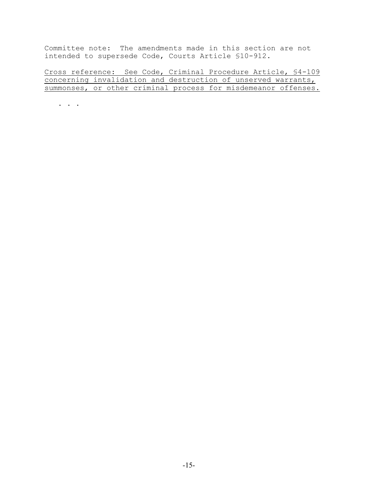Committee note: The amendments made in this section are not intended to supersede Code, Courts Article §10-912.

Cross reference: See Code, Criminal Procedure Article, §4-109 concerning invalidation and destruction of unserved warrants, summonses, or other criminal process for misdemeanor offenses.

. . .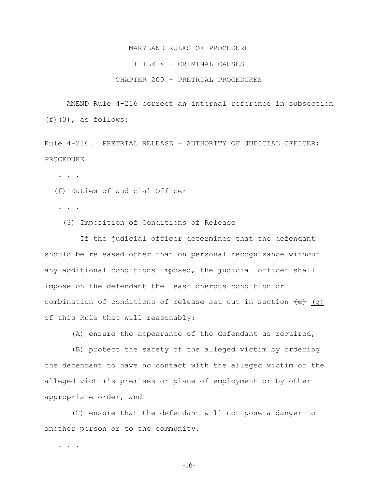# MARYLAND RULES OF PROCEDURE TITLE 4 - CRIMINAL CAUSES CHAPTER 200 - PRETRIAL PROCEDURES

AMEND Rule 4-216 correct an internal reference in subsection (f)(3), as follows:

Rule 4-216. PRETRIAL RELEASE – AUTHORITY OF JUDICIAL OFFICER; PROCEDURE

. . .

(f) Duties of Judicial Officer

. . .

(3) Imposition of Conditions of Release

 If the judicial officer determines that the defendant should be released other than on personal recognizance without any additional conditions imposed, the judicial officer shall impose on the defendant the least onerous condition or combination of conditions of release set out in section  $\left(\frac{e}{e}\right)$  (g) of this Rule that will reasonably:

(A) ensure the appearance of the defendant as required,

 (B) protect the safety of the alleged victim by ordering the defendant to have no contact with the alleged victim or the alleged victim's premises or place of employment or by other appropriate order, and

 (C) ensure that the defendant will not pose a danger to another person or to the community.

. . .

-16-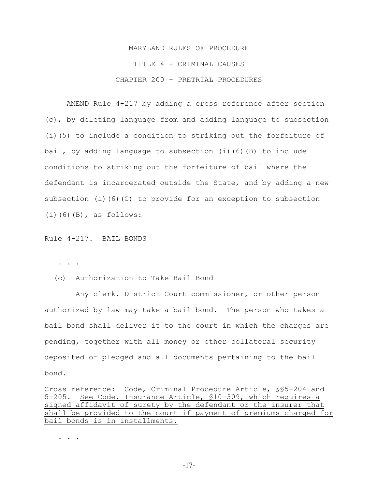# MARYLAND RULES OF PROCEDURE TITLE 4 - CRIMINAL CAUSES CHAPTER 200 - PRETRIAL PROCEDURES

AMEND Rule 4-217 by adding a cross reference after section (c), by deleting language from and adding language to subsection (i)(5) to include a condition to striking out the forfeiture of bail, by adding language to subsection (i)(6)(B) to include conditions to striking out the forfeiture of bail where the defendant is incarcerated outside the State, and by adding a new subsection (i)(6)(C) to provide for an exception to subsection  $(i)$  $(6)$  $(B)$ , as follows:

Rule 4-217. BAIL BONDS

. . .

(c) Authorization to Take Bail Bond

 Any clerk, District Court commissioner, or other person authorized by law may take a bail bond. The person who takes a bail bond shall deliver it to the court in which the charges are pending, together with all money or other collateral security deposited or pledged and all documents pertaining to the bail bond.

Cross reference: Code, Criminal Procedure Article, §§5-204 and 5-205. See Code, Insurance Article, §10-309, which requires a signed affidavit of surety by the defendant or the insurer that shall be provided to the court if payment of premiums charged for bail bonds is in installments.

. . . .

-17-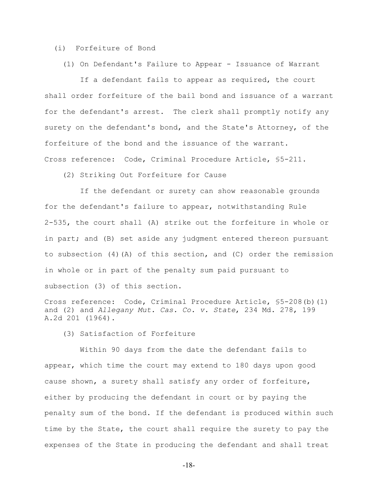(i) Forfeiture of Bond

(1) On Defendant's Failure to Appear - Issuance of Warrant

 If a defendant fails to appear as required, the court shall order forfeiture of the bail bond and issuance of a warrant for the defendant's arrest. The clerk shall promptly notify any surety on the defendant's bond, and the State's Attorney, of the forfeiture of the bond and the issuance of the warrant. Cross reference: Code, Criminal Procedure Article, §5-211.

(2) Striking Out Forfeiture for Cause

 If the defendant or surety can show reasonable grounds for the defendant's failure to appear, notwithstanding Rule 2-535, the court shall (A) strike out the forfeiture in whole or in part; and (B) set aside any judgment entered thereon pursuant to subsection (4)(A) of this section, and (C) order the remission in whole or in part of the penalty sum paid pursuant to subsection (3) of this section.

Cross reference: Code, Criminal Procedure Article, §5-208(b)(1) and (2) and *Allegany Mut. Cas. Co. v. State*, 234 Md. 278, 199 A.2d 201 (1964).

(3) Satisfaction of Forfeiture

 Within 90 days from the date the defendant fails to appear, which time the court may extend to 180 days upon good cause shown, a surety shall satisfy any order of forfeiture, either by producing the defendant in court or by paying the penalty sum of the bond. If the defendant is produced within such time by the State, the court shall require the surety to pay the expenses of the State in producing the defendant and shall treat

-18-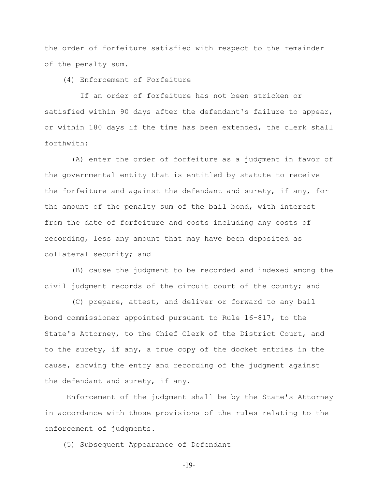the order of forfeiture satisfied with respect to the remainder of the penalty sum.

(4) Enforcement of Forfeiture

 If an order of forfeiture has not been stricken or satisfied within 90 days after the defendant's failure to appear, or within 180 days if the time has been extended, the clerk shall forthwith:

 (A) enter the order of forfeiture as a judgment in favor of the governmental entity that is entitled by statute to receive the forfeiture and against the defendant and surety, if any, for the amount of the penalty sum of the bail bond, with interest from the date of forfeiture and costs including any costs of recording, less any amount that may have been deposited as collateral security; and

 (B) cause the judgment to be recorded and indexed among the civil judgment records of the circuit court of the county; and

 (C) prepare, attest, and deliver or forward to any bail bond commissioner appointed pursuant to Rule 16-817, to the State's Attorney, to the Chief Clerk of the District Court, and to the surety, if any, a true copy of the docket entries in the cause, showing the entry and recording of the judgment against the defendant and surety, if any.

Enforcement of the judgment shall be by the State's Attorney in accordance with those provisions of the rules relating to the enforcement of judgments.

(5) Subsequent Appearance of Defendant

-19-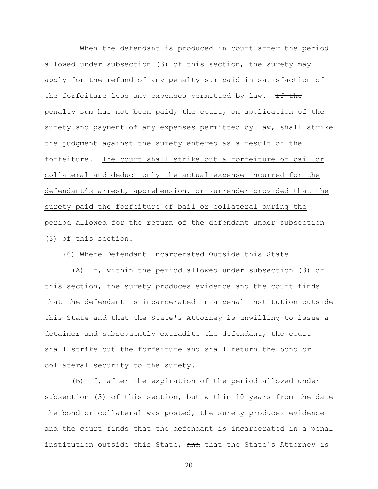When the defendant is produced in court after the period allowed under subsection (3) of this section, the surety may apply for the refund of any penalty sum paid in satisfaction of the forfeiture less any expenses permitted by law. If the penalty sum has not been paid, the court, on application of the surety and payment of any expenses permitted by law, shall strike the judgment against the surety entered as a result of the forfeiture. The court shall strike out a forfeiture of bail or collateral and deduct only the actual expense incurred for the defendant's arrest, apprehension, or surrender provided that the surety paid the forfeiture of bail or collateral during the period allowed for the return of the defendant under subsection (3) of this section.

(6) Where Defendant Incarcerated Outside this State

 (A) If, within the period allowed under subsection (3) of this section, the surety produces evidence and the court finds that the defendant is incarcerated in a penal institution outside this State and that the State's Attorney is unwilling to issue a detainer and subsequently extradite the defendant, the court shall strike out the forfeiture and shall return the bond or collateral security to the surety.

 (B) If, after the expiration of the period allowed under subsection (3) of this section, but within 10 years from the date the bond or collateral was posted, the surety produces evidence and the court finds that the defendant is incarcerated in a penal institution outside this State, and that the State's Attorney is

-20-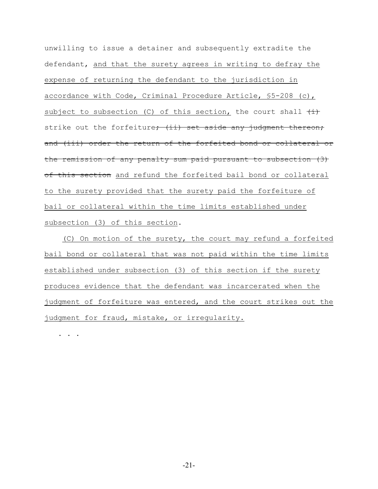unwilling to issue a detainer and subsequently extradite the defendant, and that the surety agrees in writing to defray the expense of returning the defendant to the jurisdiction in accordance with Code, Criminal Procedure Article, §5-208 (c), subject to subsection (C) of this section, the court shall  $\left(\frac{1}{1}\right)$ strike out the forfeiture; (ii) set aside any judgment thereon; and (iii) order the return of the forfeited bond or collateral or the remission of any penalty sum paid pursuant to subsection (3) of this section and refund the forfeited bail bond or collateral to the surety provided that the surety paid the forfeiture of bail or collateral within the time limits established under subsection (3) of this section.

 (C) On motion of the surety, the court may refund a forfeited bail bond or collateral that was not paid within the time limits established under subsection (3) of this section if the surety produces evidence that the defendant was incarcerated when the judgment of forfeiture was entered, and the court strikes out the judgment for fraud, mistake, or irregularity.

. . .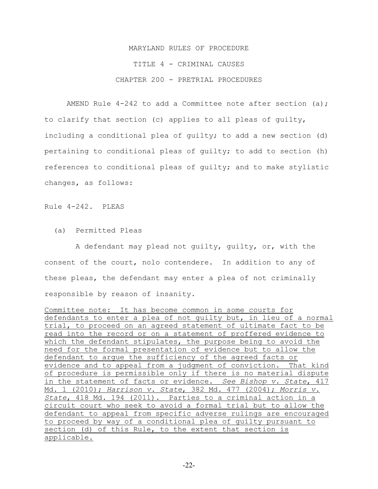# MARYLAND RULES OF PROCEDURE TITLE 4 - CRIMINAL CAUSES CHAPTER 200 - PRETRIAL PROCEDURES

AMEND Rule  $4-242$  to add a Committee note after section (a); to clarify that section (c) applies to all pleas of guilty, including a conditional plea of guilty; to add a new section (d) pertaining to conditional pleas of guilty; to add to section (h) references to conditional pleas of guilty; and to make stylistic changes, as follows:

Rule 4-242. PLEAS

(a) Permitted Pleas

 A defendant may plead not guilty, guilty, or, with the consent of the court, nolo contendere. In addition to any of these pleas, the defendant may enter a plea of not criminally responsible by reason of insanity.

Committee note: It has become common in some courts for defendants to enter a plea of not guilty but, in lieu of a normal trial, to proceed on an agreed statement of ultimate fact to be read into the record or on a statement of proffered evidence to which the defendant stipulates, the purpose being to avoid the need for the formal presentation of evidence but to allow the defendant to argue the sufficiency of the agreed facts or evidence and to appeal from a judgment of conviction. That kind of procedure is permissible only if there is no material dispute in the statement of facts or evidence. *See Bishop v. State*, 417 Md. 1 (2010); *Harrison v. State*, 382 Md. 477 (2004); *Morris v. State*, 418 Md. 194 (2011). Parties to a criminal action in a circuit court who seek to avoid a formal trial but to allow the defendant to appeal from specific adverse rulings are encouraged to proceed by way of a conditional plea of guilty pursuant to section (d) of this Rule, to the extent that section is applicable.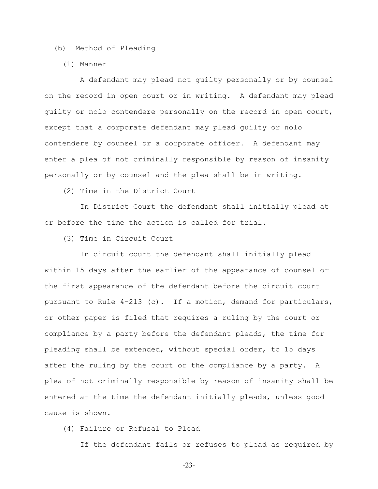(b) Method of Pleading

(1) Manner

 A defendant may plead not guilty personally or by counsel on the record in open court or in writing. A defendant may plead guilty or nolo contendere personally on the record in open court, except that a corporate defendant may plead guilty or nolo contendere by counsel or a corporate officer. A defendant may enter a plea of not criminally responsible by reason of insanity personally or by counsel and the plea shall be in writing.

(2) Time in the District Court

 In District Court the defendant shall initially plead at or before the time the action is called for trial.

(3) Time in Circuit Court

 In circuit court the defendant shall initially plead within 15 days after the earlier of the appearance of counsel or the first appearance of the defendant before the circuit court pursuant to Rule 4-213 (c). If a motion, demand for particulars, or other paper is filed that requires a ruling by the court or compliance by a party before the defendant pleads, the time for pleading shall be extended, without special order, to 15 days after the ruling by the court or the compliance by a party. A plea of not criminally responsible by reason of insanity shall be entered at the time the defendant initially pleads, unless good cause is shown.

(4) Failure or Refusal to Plead

If the defendant fails or refuses to plead as required by

-23-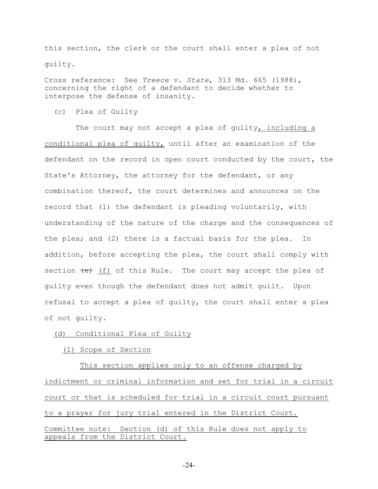this section, the clerk or the court shall enter a plea of not guilty.

Cross reference: See *Treece v. State*, 313 Md. 665 (1988), concerning the right of a defendant to decide whether to interpose the defense of insanity.

(c) Plea of Guilty

The court may not accept a plea of quilty, including a conditional plea of guilty, until after an examination of the defendant on the record in open court conducted by the court, the State's Attorney, the attorney for the defendant, or any combination thereof, the court determines and announces on the record that (1) the defendant is pleading voluntarily, with understanding of the nature of the charge and the consequences of the plea; and (2) there is a factual basis for the plea. In addition, before accepting the plea, the court shall comply with section  $\leftarrow$  (f) of this Rule. The court may accept the plea of guilty even though the defendant does not admit guilt. Upon refusal to accept a plea of guilty, the court shall enter a plea of not guilty.

## (d) Conditional Plea of Guilty

## (1) Scope of Section

 This section applies only to an offense charged by indictment or criminal information and set for trial in a circuit court or that is scheduled for trial in a circuit court pursuant to a prayer for jury trial entered in the District Court. Committee note: Section (d) of this Rule does not apply to appeals from the District Court.

-24-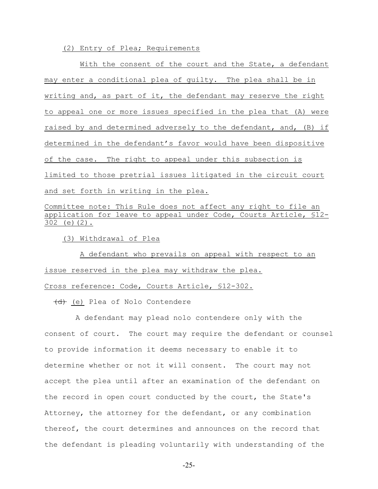(2) Entry of Plea; Requirements

With the consent of the court and the State, a defendant may enter a conditional plea of guilty. The plea shall be in writing and, as part of it, the defendant may reserve the right to appeal one or more issues specified in the plea that (A) were raised by and determined adversely to the defendant, and, (B) if determined in the defendant's favor would have been dispositive of the case. The right to appeal under this subsection is limited to those pretrial issues litigated in the circuit court and set forth in writing in the plea.

Committee note: This Rule does not affect any right to file an application for leave to appeal under Code, Courts Article, §12- 302 (e)(2).

(3) Withdrawal of Plea

 A defendant who prevails on appeal with respect to an issue reserved in the plea may withdraw the plea. Cross reference: Code, Courts Article, §12-302.

(d) (e) Plea of Nolo Contendere

 A defendant may plead nolo contendere only with the consent of court. The court may require the defendant or counsel to provide information it deems necessary to enable it to determine whether or not it will consent. The court may not accept the plea until after an examination of the defendant on the record in open court conducted by the court, the State's Attorney, the attorney for the defendant, or any combination thereof, the court determines and announces on the record that the defendant is pleading voluntarily with understanding of the

-25-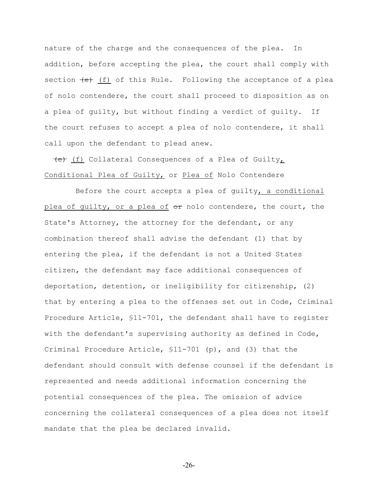nature of the charge and the consequences of the plea. In addition, before accepting the plea, the court shall comply with section  $\left(\frac{e}{f}\right)$  of this Rule. Following the acceptance of a plea of nolo contendere, the court shall proceed to disposition as on a plea of guilty, but without finding a verdict of guilty. If the court refuses to accept a plea of nolo contendere, it shall call upon the defendant to plead anew.

(e) (f) Collateral Consequences of a Plea of Guilty, Conditional Plea of Guilty, or Plea of Nolo Contendere

 Before the court accepts a plea of guilty, a conditional plea of guilty, or a plea of or nolo contendere, the court, the State's Attorney, the attorney for the defendant, or any combination thereof shall advise the defendant (1) that by entering the plea, if the defendant is not a United States citizen, the defendant may face additional consequences of deportation, detention, or ineligibility for citizenship, (2) that by entering a plea to the offenses set out in Code, Criminal Procedure Article, §11-701, the defendant shall have to register with the defendant's supervising authority as defined in Code, Criminal Procedure Article, §11-701 (p), and (3) that the defendant should consult with defense counsel if the defendant is represented and needs additional information concerning the potential consequences of the plea. The omission of advice concerning the collateral consequences of a plea does not itself mandate that the plea be declared invalid.

-26-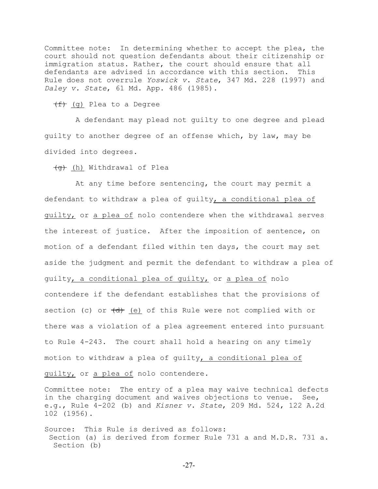Committee note: In determining whether to accept the plea, the court should not question defendants about their citizenship or immigration status. Rather, the court should ensure that all defendants are advised in accordance with this section. This Rule does not overrule *Yoswick v. State*, 347 Md. 228 (1997) and *Daley v. State*, 61 Md. App. 486 (1985).

(f) (g) Plea to a Degree

 A defendant may plead not guilty to one degree and plead guilty to another degree of an offense which, by law, may be divided into degrees.

<del>(g)</del> (h) Withdrawal of Plea

 At any time before sentencing, the court may permit a defendant to withdraw a plea of guilty, a conditional plea of guilty, or a plea of nolo contendere when the withdrawal serves the interest of justice. After the imposition of sentence, on motion of a defendant filed within ten days, the court may set aside the judgment and permit the defendant to withdraw a plea of guilty, a conditional plea of guilty, or a plea of nolo contendere if the defendant establishes that the provisions of section (c) or  $\left(\frac{d}{dt}\right)$  (e) of this Rule were not complied with or there was a violation of a plea agreement entered into pursuant to Rule 4-243. The court shall hold a hearing on any timely motion to withdraw a plea of guilty, a conditional plea of guilty, or a plea of nolo contendere.

Committee note: The entry of a plea may waive technical defects in the charging document and waives objections to venue. See, e.g., Rule 4-202 (b) and *Kisner v. State*, 209 Md. 524, 122 A.2d 102 (1956).

Source: This Rule is derived as follows: Section (a) is derived from former Rule 731 a and M.D.R. 731 a. Section (b)

-27-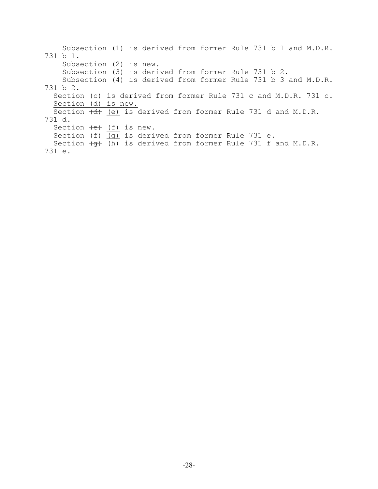Subsection (1) is derived from former Rule 731 b 1 and M.D.R. 731 b 1. Subsection (2) is new. Subsection (3) is derived from former Rule 731 b 2. Subsection (4) is derived from former Rule 731 b 3 and M.D.R. 731 b 2. Section (c) is derived from former Rule 731 c and M.D.R. 731 c. Section (d) is new. Section  $\left(\frac{d}{d}\right)$  (e) is derived from former Rule 731 d and M.D.R. 731 d. Section  $\overline{(e)}$   $\overline{(f)}$  is new. Section  $\begin{pmatrix} f & g \end{pmatrix}$  is derived from former Rule 731 e. Section  $\overline{(q)}$  (h) is derived from former Rule 731 f and M.D.R. 731 e.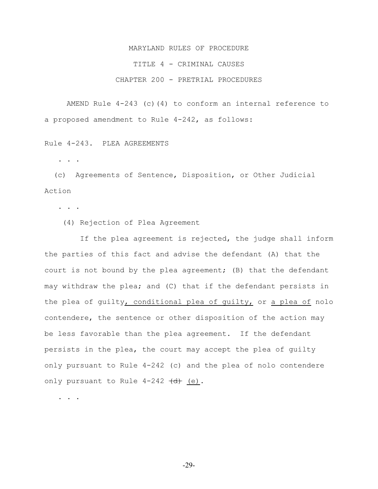TITLE 4 - CRIMINAL CAUSES

## CHAPTER 200 - PRETRIAL PROCEDURES

AMEND Rule  $4-243$  (c)(4) to conform an internal reference to a proposed amendment to Rule 4-242, as follows:

Rule 4-243. PLEA AGREEMENTS

. . .

 (c) Agreements of Sentence, Disposition, or Other Judicial Action

. . .

(4) Rejection of Plea Agreement

 If the plea agreement is rejected, the judge shall inform the parties of this fact and advise the defendant (A) that the court is not bound by the plea agreement; (B) that the defendant may withdraw the plea; and (C) that if the defendant persists in the plea of guilty, conditional plea of guilty, or a plea of nolo contendere, the sentence or other disposition of the action may be less favorable than the plea agreement. If the defendant persists in the plea, the court may accept the plea of guilty only pursuant to Rule 4-242 (c) and the plea of nolo contendere only pursuant to Rule  $4-242$   $\left(\frac{d}{d}\right)$  (e).

. . .

-29-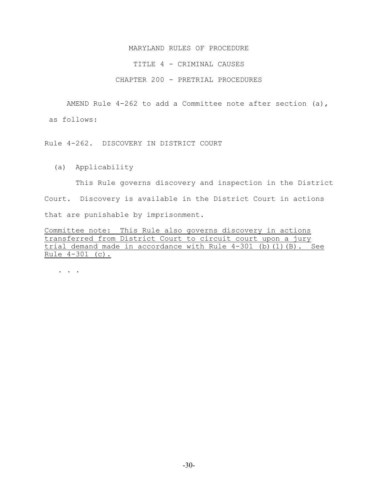#### TITLE 4 - CRIMINAL CAUSES

# CHAPTER 200 - PRETRIAL PROCEDURES

AMEND Rule 4-262 to add a Committee note after section (a),

as follows:

Rule 4-262. DISCOVERY IN DISTRICT COURT

(a) Applicability

 This Rule governs discovery and inspection in the District Court. Discovery is available in the District Court in actions that are punishable by imprisonment.

Committee note: This Rule also governs discovery in actions transferred from District Court to circuit court upon a jury trial demand made in accordance with Rule 4-301 (b)(1)(B). See Rule 4-301 (c).

. . . . . .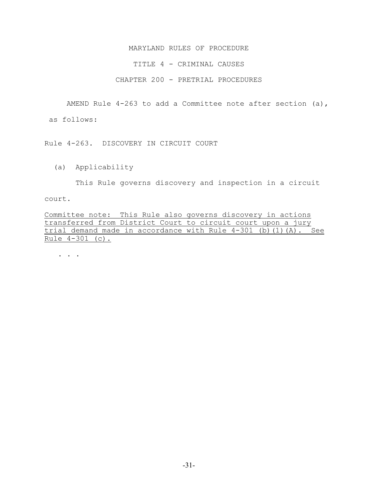#### TITLE 4 - CRIMINAL CAUSES

# CHAPTER 200 - PRETRIAL PROCEDURES

AMEND Rule 4-263 to add a Committee note after section (a),

as follows:

Rule 4-263. DISCOVERY IN CIRCUIT COURT

(a) Applicability

This Rule governs discovery and inspection in a circuit

court.

Committee note: This Rule also governs discovery in actions transferred from District Court to circuit court upon a jury trial demand made in accordance with Rule 4-301 (b)(1)(A). See Rule 4-301 (c).

. . .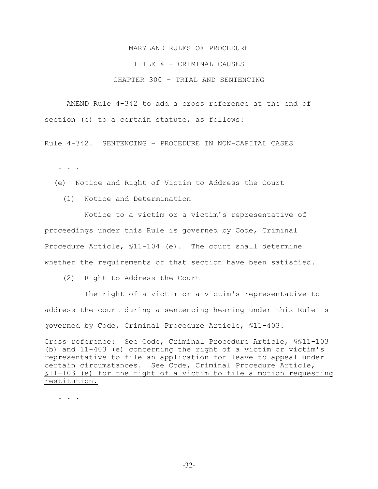### TITLE 4 - CRIMINAL CAUSES

# CHAPTER 300 - TRIAL AND SENTENCING

AMEND Rule 4-342 to add a cross reference at the end of section (e) to a certain statute, as follows:

Rule 4-342. SENTENCING - PROCEDURE IN NON-CAPITAL CASES

. . .

- (e) Notice and Right of Victim to Address the Court
	- (1) Notice and Determination

 Notice to a victim or a victim's representative of proceedings under this Rule is governed by Code, Criminal Procedure Article, §11-104 (e). The court shall determine whether the requirements of that section have been satisfied.

(2) Right to Address the Court

 The right of a victim or a victim's representative to address the court during a sentencing hearing under this Rule is governed by Code, Criminal Procedure Article, §11-403.

Cross reference: See Code, Criminal Procedure Article, §§11-103 (b) and 11-403 (e) concerning the right of a victim or victim's representative to file an application for leave to appeal under certain circumstances. See Code, Criminal Procedure Article, §11-103 (e) for the right of a victim to file a motion requesting restitution.

. . .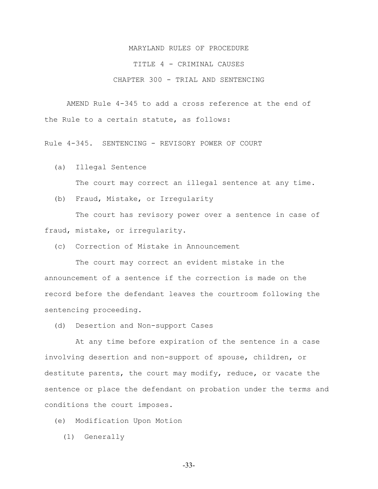#### TITLE 4 - CRIMINAL CAUSES

# CHAPTER 300 - TRIAL AND SENTENCING

AMEND Rule 4-345 to add a cross reference at the end of the Rule to a certain statute, as follows:

Rule 4-345. SENTENCING - REVISORY POWER OF COURT

(a) Illegal Sentence

The court may correct an illegal sentence at any time.

(b) Fraud, Mistake, or Irregularity

 The court has revisory power over a sentence in case of fraud, mistake, or irregularity.

(c) Correction of Mistake in Announcement

 The court may correct an evident mistake in the announcement of a sentence if the correction is made on the record before the defendant leaves the courtroom following the sentencing proceeding.

(d) Desertion and Non-support Cases

 At any time before expiration of the sentence in a case involving desertion and non-support of spouse, children, or destitute parents, the court may modify, reduce, or vacate the sentence or place the defendant on probation under the terms and conditions the court imposes.

- (e) Modification Upon Motion
	- (1) Generally

-33-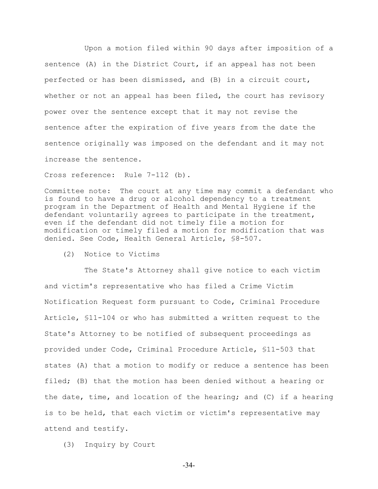Upon a motion filed within 90 days after imposition of a sentence (A) in the District Court, if an appeal has not been perfected or has been dismissed, and (B) in a circuit court, whether or not an appeal has been filed, the court has revisory power over the sentence except that it may not revise the sentence after the expiration of five years from the date the sentence originally was imposed on the defendant and it may not increase the sentence.

Cross reference: Rule 7-112 (b).

Committee note: The court at any time may commit a defendant who is found to have a drug or alcohol dependency to a treatment program in the Department of Health and Mental Hygiene if the defendant voluntarily agrees to participate in the treatment, even if the defendant did not timely file a motion for modification or timely filed a motion for modification that was denied. See Code, Health General Article, §8-507.

(2) Notice to Victims

 The State's Attorney shall give notice to each victim and victim's representative who has filed a Crime Victim Notification Request form pursuant to Code, Criminal Procedure Article, §11-104 or who has submitted a written request to the State's Attorney to be notified of subsequent proceedings as provided under Code, Criminal Procedure Article, §11-503 that states (A) that a motion to modify or reduce a sentence has been filed; (B) that the motion has been denied without a hearing or the date, time, and location of the hearing; and (C) if a hearing is to be held, that each victim or victim's representative may attend and testify.

(3) Inquiry by Court

-34-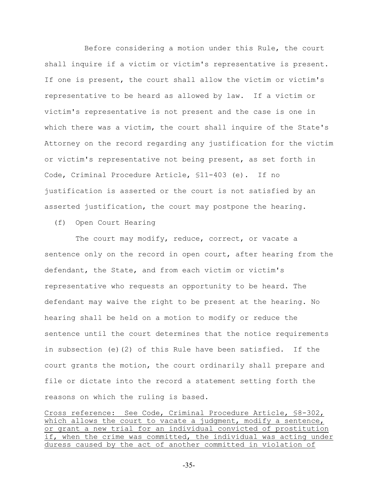Before considering a motion under this Rule, the court shall inquire if a victim or victim's representative is present. If one is present, the court shall allow the victim or victim's representative to be heard as allowed by law. If a victim or victim's representative is not present and the case is one in which there was a victim, the court shall inquire of the State's Attorney on the record regarding any justification for the victim or victim's representative not being present, as set forth in Code, Criminal Procedure Article, §11-403 (e). If no justification is asserted or the court is not satisfied by an asserted justification, the court may postpone the hearing.

(f) Open Court Hearing

The court may modify, reduce, correct, or vacate a sentence only on the record in open court, after hearing from the defendant, the State, and from each victim or victim's representative who requests an opportunity to be heard. The defendant may waive the right to be present at the hearing. No hearing shall be held on a motion to modify or reduce the sentence until the court determines that the notice requirements in subsection (e)(2) of this Rule have been satisfied. If the court grants the motion, the court ordinarily shall prepare and file or dictate into the record a statement setting forth the reasons on which the ruling is based.

Cross reference: See Code, Criminal Procedure Article, §8-302, which allows the court to vacate a judgment, modify a sentence, or grant a new trial for an individual convicted of prostitution if, when the crime was committed, the individual was acting under duress caused by the act of another committed in violation of

-35-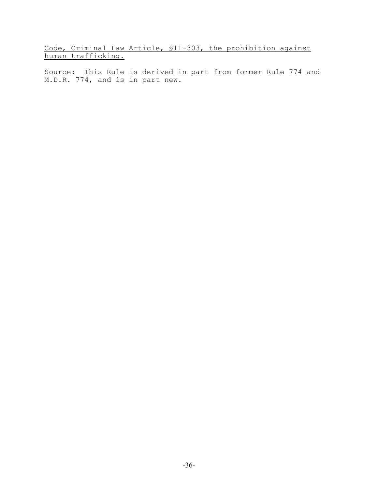Code, Criminal Law Article, §11-303, the prohibition against human trafficking.

Source: This Rule is derived in part from former Rule 774 and M.D.R. 774, and is in part new.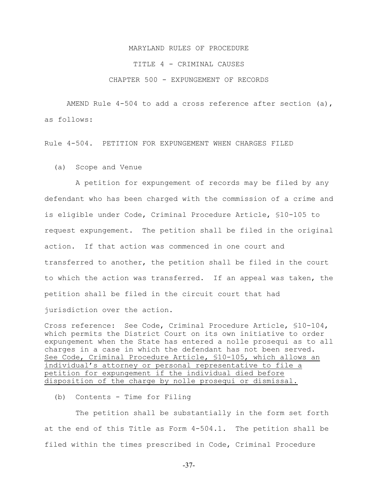#### TITLE 4 - CRIMINAL CAUSES

#### CHAPTER 500 - EXPUNGEMENT OF RECORDS

AMEND Rule 4-504 to add a cross reference after section (a), as follows:

Rule 4-504. PETITION FOR EXPUNGEMENT WHEN CHARGES FILED

(a) Scope and Venue

 A petition for expungement of records may be filed by any defendant who has been charged with the commission of a crime and is eligible under Code, Criminal Procedure Article, §10-105 to request expungement. The petition shall be filed in the original action. If that action was commenced in one court and transferred to another, the petition shall be filed in the court to which the action was transferred. If an appeal was taken, the petition shall be filed in the circuit court that had jurisdiction over the action.

Cross reference: See Code, Criminal Procedure Article, §10-104, which permits the District Court on its own initiative to order expungement when the State has entered a nolle prosequi as to all charges in a case in which the defendant has not been served. See Code, Criminal Procedure Article, §10-105, which allows an individual's attorney or personal representative to file a petition for expungement if the individual died before disposition of the charge by nolle prosequi or dismissal.

(b) Contents - Time for Filing

 The petition shall be substantially in the form set forth at the end of this Title as Form 4-504.1. The petition shall be filed within the times prescribed in Code, Criminal Procedure

-37-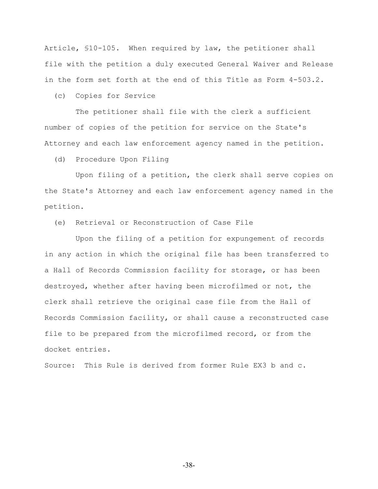Article, §10-105. When required by law, the petitioner shall file with the petition a duly executed General Waiver and Release in the form set forth at the end of this Title as Form 4-503.2.

(c) Copies for Service

 The petitioner shall file with the clerk a sufficient number of copies of the petition for service on the State's Attorney and each law enforcement agency named in the petition.

(d) Procedure Upon Filing

 Upon filing of a petition, the clerk shall serve copies on the State's Attorney and each law enforcement agency named in the petition.

(e) Retrieval or Reconstruction of Case File

 Upon the filing of a petition for expungement of records in any action in which the original file has been transferred to a Hall of Records Commission facility for storage, or has been destroyed, whether after having been microfilmed or not, the clerk shall retrieve the original case file from the Hall of Records Commission facility, or shall cause a reconstructed case file to be prepared from the microfilmed record, or from the docket entries.

Source: This Rule is derived from former Rule EX3 b and c.

-38-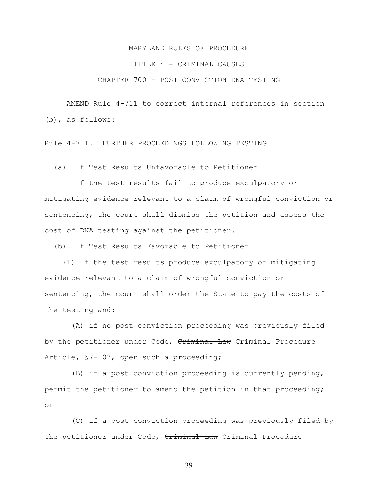#### TITLE 4 - CRIMINAL CAUSES

## CHAPTER 700 - POST CONVICTION DNA TESTING

AMEND Rule 4-711 to correct internal references in section (b), as follows:

Rule 4-711. FURTHER PROCEEDINGS FOLLOWING TESTING

(a) If Test Results Unfavorable to Petitioner

 If the test results fail to produce exculpatory or mitigating evidence relevant to a claim of wrongful conviction or sentencing, the court shall dismiss the petition and assess the cost of DNA testing against the petitioner.

(b) If Test Results Favorable to Petitioner

 (1) If the test results produce exculpatory or mitigating evidence relevant to a claim of wrongful conviction or sentencing, the court shall order the State to pay the costs of the testing and:

 (A) if no post conviction proceeding was previously filed by the petitioner under Code, Criminal Law Criminal Procedure Article, §7-102, open such a proceeding;

 (B) if a post conviction proceeding is currently pending, permit the petitioner to amend the petition in that proceeding; or

 (C) if a post conviction proceeding was previously filed by the petitioner under Code, Criminal Law Criminal Procedure

-39-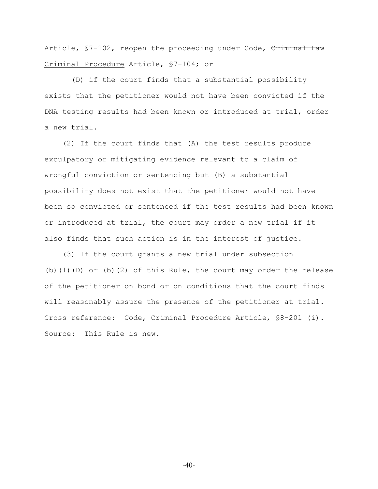Article, §7-102, reopen the proceeding under Code, Criminal Law Criminal Procedure Article, §7-104; or

 (D) if the court finds that a substantial possibility exists that the petitioner would not have been convicted if the DNA testing results had been known or introduced at trial, order a new trial.

 (2) If the court finds that (A) the test results produce exculpatory or mitigating evidence relevant to a claim of wrongful conviction or sentencing but (B) a substantial possibility does not exist that the petitioner would not have been so convicted or sentenced if the test results had been known or introduced at trial, the court may order a new trial if it also finds that such action is in the interest of justice.

 (3) If the court grants a new trial under subsection (b)(1)(D) or (b)(2) of this Rule, the court may order the release of the petitioner on bond or on conditions that the court finds will reasonably assure the presence of the petitioner at trial. Cross reference: Code, Criminal Procedure Article, §8-201 (i). Source: This Rule is new.

-40-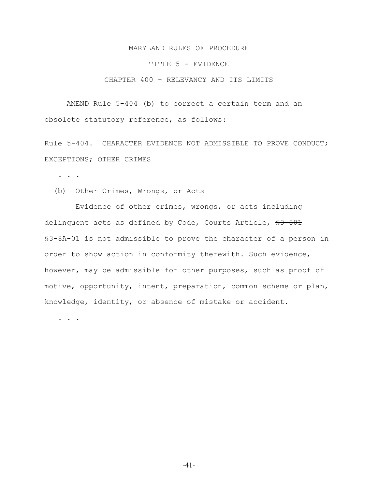#### TITLE 5 - EVIDENCE

## CHAPTER 400 - RELEVANCY AND ITS LIMITS

AMEND Rule 5-404 (b) to correct a certain term and an obsolete statutory reference, as follows:

Rule 5-404. CHARACTER EVIDENCE NOT ADMISSIBLE TO PROVE CONDUCT; EXCEPTIONS; OTHER CRIMES

. . .

(b) Other Crimes, Wrongs, or Acts

 Evidence of other crimes, wrongs, or acts including delinquent acts as defined by Code, Courts Article, \$3-801 §3-8A-01 is not admissible to prove the character of a person in order to show action in conformity therewith. Such evidence, however, may be admissible for other purposes, such as proof of motive, opportunity, intent, preparation, common scheme or plan, knowledge, identity, or absence of mistake or accident.

. . . .

-41-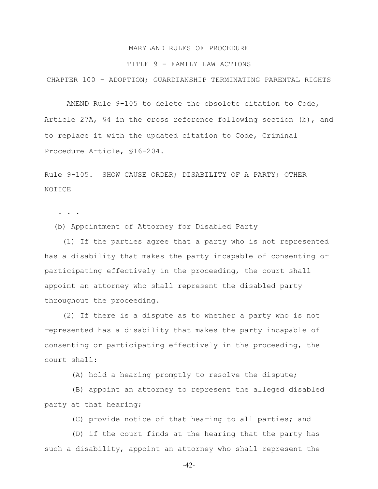#### TITLE 9 - FAMILY LAW ACTIONS

CHAPTER 100 - ADOPTION; GUARDIANSHIP TERMINATING PARENTAL RIGHTS

AMEND Rule 9-105 to delete the obsolete citation to Code, Article 27A, §4 in the cross reference following section (b), and to replace it with the updated citation to Code, Criminal Procedure Article, §16-204.

Rule 9-105. SHOW CAUSE ORDER; DISABILITY OF A PARTY; OTHER NOTICE

. . .

(b) Appointment of Attorney for Disabled Party

 (1) If the parties agree that a party who is not represented has a disability that makes the party incapable of consenting or participating effectively in the proceeding, the court shall appoint an attorney who shall represent the disabled party throughout the proceeding.

 (2) If there is a dispute as to whether a party who is not represented has a disability that makes the party incapable of consenting or participating effectively in the proceeding, the court shall:

(A) hold a hearing promptly to resolve the dispute;

 (B) appoint an attorney to represent the alleged disabled party at that hearing;

(C) provide notice of that hearing to all parties; and

 (D) if the court finds at the hearing that the party has such a disability, appoint an attorney who shall represent the

-42-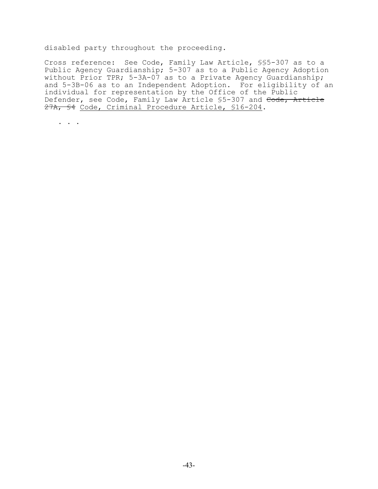disabled party throughout the proceeding.

Cross reference: See Code, Family Law Article, §§5-307 as to a Public Agency Guardianship; 5-307 as to a Public Agency Adoption without Prior TPR; 5-3A-07 as to a Private Agency Guardianship; and 5-3B-06 as to an Independent Adoption. For eligibility of an individual for representation by the Office of the Public Defender, see Code, Family Law Article \$5-307 and Code, Article 27A, §4 Code, Criminal Procedure Article, §16-204.

. . .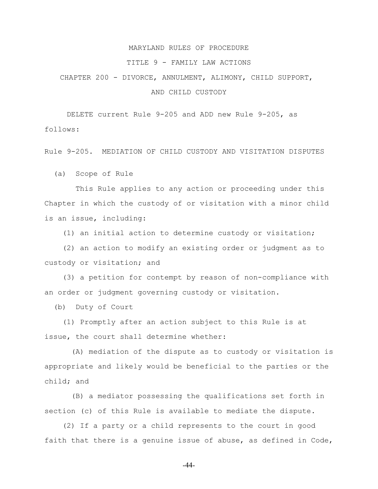#### TITLE 9 - FAMILY LAW ACTIONS

# CHAPTER 200 - DIVORCE, ANNULMENT, ALIMONY, CHILD SUPPORT, AND CHILD CUSTODY

DELETE current Rule 9-205 and ADD new Rule 9-205, as

follows:

Rule 9-205. MEDIATION OF CHILD CUSTODY AND VISITATION DISPUTES

(a) Scope of Rule

 This Rule applies to any action or proceeding under this Chapter in which the custody of or visitation with a minor child is an issue, including:

(1) an initial action to determine custody or visitation;

 (2) an action to modify an existing order or judgment as to custody or visitation; and

 (3) a petition for contempt by reason of non-compliance with an order or judgment governing custody or visitation.

(b) Duty of Court

 (1) Promptly after an action subject to this Rule is at issue, the court shall determine whether:

 (A) mediation of the dispute as to custody or visitation is appropriate and likely would be beneficial to the parties or the child; and

 (B) a mediator possessing the qualifications set forth in section (c) of this Rule is available to mediate the dispute.

 (2) If a party or a child represents to the court in good faith that there is a genuine issue of abuse, as defined in Code,

-44-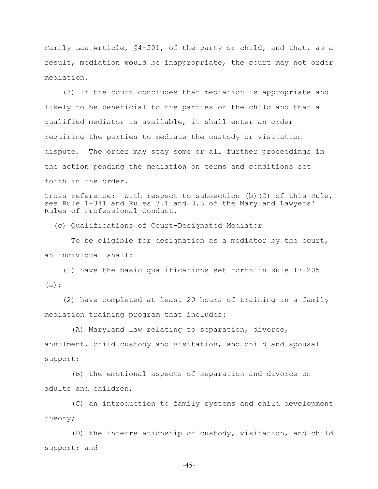Family Law Article, §4-501, of the party or child, and that, as a result, mediation would be inappropriate, the court may not order mediation.

 (3) If the court concludes that mediation is appropriate and likely to be beneficial to the parties or the child and that a qualified mediator is available, it shall enter an order requiring the parties to mediate the custody or visitation dispute. The order may stay some or all further proceedings in the action pending the mediation on terms and conditions set forth in the order.

Cross reference: With respect to subsection (b)(2) of this Rule, see Rule 1-341 and Rules 3.1 and 3.3 of the Maryland Lawyers' Rules of Professional Conduct.

(c) Qualifications of Court-Designated Mediator

 To be eligible for designation as a mediator by the court, an individual shall:

 (1) have the basic qualifications set forth in Rule 17-205  $(a)$ ;

 (2) have completed at least 20 hours of training in a family mediation training program that includes:

 (A) Maryland law relating to separation, divorce, annulment, child custody and visitation, and child and spousal support;

 (B) the emotional aspects of separation and divorce on adults and children;

 (C) an introduction to family systems and child development theory;

 (D) the interrelationship of custody, visitation, and child support; and

-45-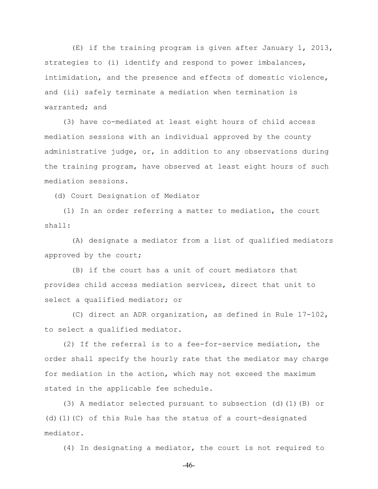(E) if the training program is given after January 1, 2013, strategies to (i) identify and respond to power imbalances, intimidation, and the presence and effects of domestic violence, and (ii) safely terminate a mediation when termination is warranted; and

 (3) have co-mediated at least eight hours of child access mediation sessions with an individual approved by the county administrative judge, or, in addition to any observations during the training program, have observed at least eight hours of such mediation sessions.

(d) Court Designation of Mediator

 (1) In an order referring a matter to mediation, the court shall:

 (A) designate a mediator from a list of qualified mediators approved by the court;

 (B) if the court has a unit of court mediators that provides child access mediation services, direct that unit to select a qualified mediator; or

 (C) direct an ADR organization, as defined in Rule 17-102, to select a qualified mediator.

 (2) If the referral is to a fee-for-service mediation, the order shall specify the hourly rate that the mediator may charge for mediation in the action, which may not exceed the maximum stated in the applicable fee schedule.

 (3) A mediator selected pursuant to subsection (d)(1)(B) or (d)(1)(C) of this Rule has the status of a court-designated mediator.

(4) In designating a mediator, the court is not required to

-46-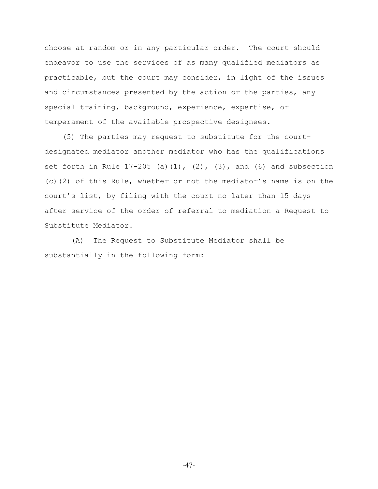choose at random or in any particular order. The court should endeavor to use the services of as many qualified mediators as practicable, but the court may consider, in light of the issues and circumstances presented by the action or the parties, any special training, background, experience, expertise, or temperament of the available prospective designees.

 (5) The parties may request to substitute for the courtdesignated mediator another mediator who has the qualifications set forth in Rule  $17-205$  (a)(1), (2), (3), and (6) and subsection (c)(2) of this Rule, whether or not the mediator's name is on the court's list, by filing with the court no later than 15 days after service of the order of referral to mediation a Request to Substitute Mediator.

 (A) The Request to Substitute Mediator shall be substantially in the following form: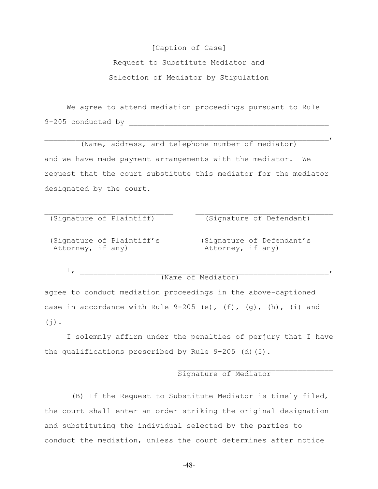# [Caption of Case]

Request to Substitute Mediator and Selection of Mediator by Stipulation

We agree to attend mediation proceedings pursuant to Rule 9-205 conducted by \_\_\_\_\_\_\_\_\_\_\_\_\_\_\_\_\_\_\_\_\_\_\_\_\_\_\_\_\_\_\_\_\_\_\_\_\_\_\_\_\_\_\_\_\_

(Name, address, and telephone number of mediator) and we have made payment arrangements with the mediator. We request that the court substitute this mediator for the mediator designated by the court.

 $\mathcal{L}_\text{max}$  and the contract of the contract of the contract of the contract of the contract of the contract of

 $\mathcal{L}_\text{max}$  and the contract of the contract of the contract of the contract of the contract of the contract of

 $\overline{I}$ 

(Signature of Plaintiff) (Signature of Defendant)

(Signature of Plaintiff's (Signature of Defendant's Attorney, if any) Attorney, if any)

I, \_\_\_\_\_\_\_\_\_\_\_\_\_\_\_\_\_\_\_\_\_\_\_\_\_\_\_\_\_\_\_\_\_\_\_\_\_\_\_\_\_\_\_\_\_\_\_\_\_\_\_\_\_\_\_\_,

## (Name of Mediator)

agree to conduct mediation proceedings in the above-captioned case in accordance with Rule  $9-205$  (e), (f), (q), (h), (i) and  $(j)$ .

I solemnly affirm under the penalties of perjury that I have the qualifications prescribed by Rule  $9-205$  (d)(5).

## $\mathcal{L}_\text{max}$ Signature of Mediator

 (B) If the Request to Substitute Mediator is timely filed, the court shall enter an order striking the original designation and substituting the individual selected by the parties to conduct the mediation, unless the court determines after notice

-48-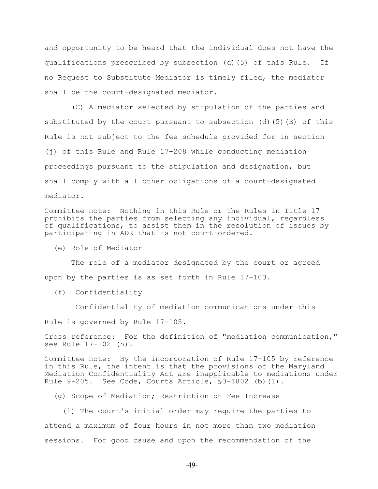and opportunity to be heard that the individual does not have the qualifications prescribed by subsection (d)(5) of this Rule. If no Request to Substitute Mediator is timely filed, the mediator shall be the court-designated mediator.

 (C) A mediator selected by stipulation of the parties and substituted by the court pursuant to subsection (d)(5)(B) of this Rule is not subject to the fee schedule provided for in section (j) of this Rule and Rule 17-208 while conducting mediation proceedings pursuant to the stipulation and designation, but shall comply with all other obligations of a court-designated mediator.

Committee note: Nothing in this Rule or the Rules in Title 17 prohibits the parties from selecting any individual, regardless of qualifications, to assist them in the resolution of issues by participating in ADR that is not court-ordered.

(e) Role of Mediator

 The role of a mediator designated by the court or agreed upon by the parties is as set forth in Rule 17-103.

(f) Confidentiality

Confidentiality of mediation communications under this

Rule is governed by Rule 17-105.

Cross reference: For the definition of "mediation communication," see Rule 17-102 (h).

Committee note: By the incorporation of Rule 17-105 by reference in this Rule, the intent is that the provisions of the Maryland Mediation Confidentiality Act are inapplicable to mediations under Rule 9-205. See Code, Courts Article, §3-1802 (b)(1).

(g) Scope of Mediation; Restriction on Fee Increase

 (1) The court's initial order may require the parties to attend a maximum of four hours in not more than two mediation sessions. For good cause and upon the recommendation of the

-49-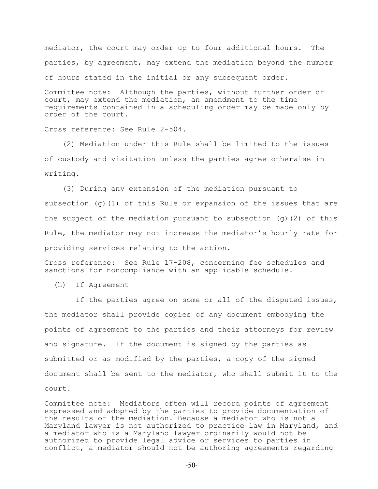mediator, the court may order up to four additional hours. The parties, by agreement, may extend the mediation beyond the number of hours stated in the initial or any subsequent order.

Committee note: Although the parties, without further order of court, may extend the mediation, an amendment to the time requirements contained in a scheduling order may be made only by order of the court.

Cross reference: See Rule 2-504.

 (2) Mediation under this Rule shall be limited to the issues of custody and visitation unless the parties agree otherwise in writing.

 (3) During any extension of the mediation pursuant to subsection (q)(1) of this Rule or expansion of the issues that are the subject of the mediation pursuant to subsection (g)(2) of this Rule, the mediator may not increase the mediator's hourly rate for providing services relating to the action.

Cross reference: See Rule 17-208, concerning fee schedules and sanctions for noncompliance with an applicable schedule.

(h) If Agreement

 If the parties agree on some or all of the disputed issues, the mediator shall provide copies of any document embodying the points of agreement to the parties and their attorneys for review and signature. If the document is signed by the parties as submitted or as modified by the parties, a copy of the signed document shall be sent to the mediator, who shall submit it to the court.

Committee note: Mediators often will record points of agreement expressed and adopted by the parties to provide documentation of the results of the mediation. Because a mediator who is not a Maryland lawyer is not authorized to practice law in Maryland, and a mediator who is a Maryland lawyer ordinarily would not be authorized to provide legal advice or services to parties in conflict, a mediator should not be authoring agreements regarding

-50-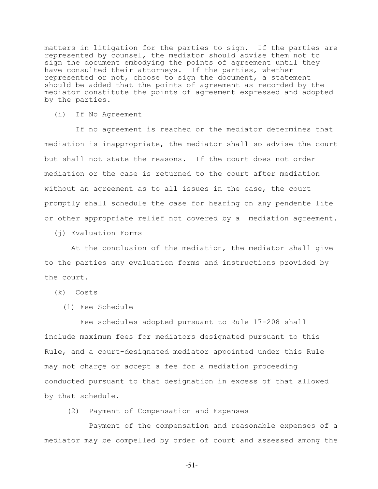matters in litigation for the parties to sign. If the parties are represented by counsel, the mediator should advise them not to sign the document embodying the points of agreement until they have consulted their attorneys. If the parties, whether represented or not, choose to sign the document, a statement should be added that the points of agreement as recorded by the mediator constitute the points of agreement expressed and adopted by the parties.

(i) If No Agreement

 If no agreement is reached or the mediator determines that mediation is inappropriate, the mediator shall so advise the court but shall not state the reasons. If the court does not order mediation or the case is returned to the court after mediation without an agreement as to all issues in the case, the court promptly shall schedule the case for hearing on any pendente lite or other appropriate relief not covered by a mediation agreement.

(j) Evaluation Forms

 At the conclusion of the mediation, the mediator shall give to the parties any evaluation forms and instructions provided by the court.

(k) Costs

(1) Fee Schedule

 Fee schedules adopted pursuant to Rule 17-208 shall include maximum fees for mediators designated pursuant to this Rule, and a court-designated mediator appointed under this Rule may not charge or accept a fee for a mediation proceeding conducted pursuant to that designation in excess of that allowed by that schedule.

(2) Payment of Compensation and Expenses

Payment of the compensation and reasonable expenses of a mediator may be compelled by order of court and assessed among the

-51-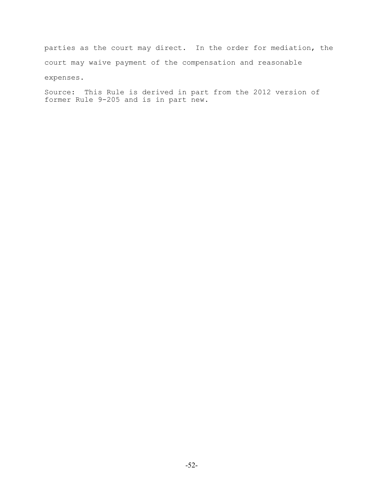parties as the court may direct. In the order for mediation, the court may waive payment of the compensation and reasonable expenses.

Source: This Rule is derived in part from the 2012 version of former Rule 9-205 and is in part new.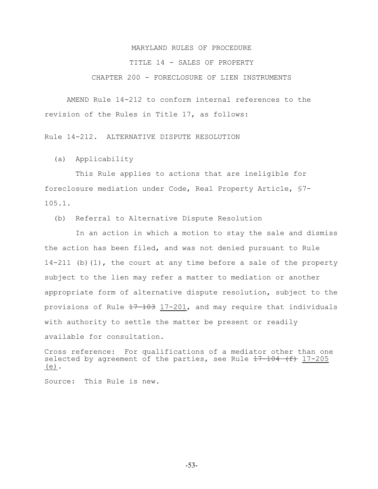#### TITLE 14 - SALES OF PROPERTY

#### CHAPTER 200 - FORECLOSURE OF LIEN INSTRUMENTS

AMEND Rule 14-212 to conform internal references to the revision of the Rules in Title 17, as follows:

Rule 14-212. ALTERNATIVE DISPUTE RESOLUTION

(a) Applicability

 This Rule applies to actions that are ineligible for foreclosure mediation under Code, Real Property Article, §7- 105.1.

(b) Referral to Alternative Dispute Resolution

 In an action in which a motion to stay the sale and dismiss the action has been filed, and was not denied pursuant to Rule 14-211 (b)(1), the court at any time before a sale of the property subject to the lien may refer a matter to mediation or another appropriate form of alternative dispute resolution, subject to the provisions of Rule  $17-103$  17-201, and may require that individuals with authority to settle the matter be present or readily available for consultation.

Cross reference: For qualifications of a mediator other than one selected by agreement of the parties, see Rule  $17-104$  (f)  $17-205$ (e).

Source: This Rule is new.

-53-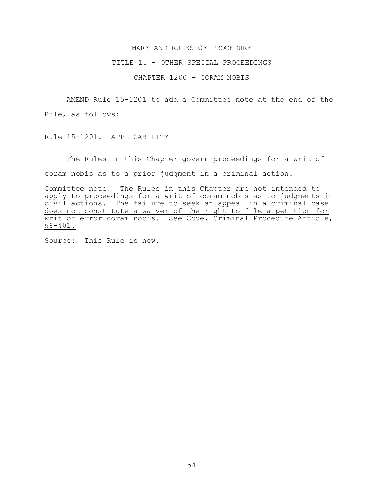#### TITLE 15 - OTHER SPECIAL PROCEEDINGS

CHAPTER 1200 - CORAM NOBIS

AMEND Rule 15-1201 to add a Committee note at the end of the Rule, as follows:

Rule 15-1201. APPLICABILITY

The Rules in this Chapter govern proceedings for a writ of coram nobis as to a prior judgment in a criminal action.

Committee note: The Rules in this Chapter are not intended to apply to proceedings for a writ of coram nobis as to judgments in civil actions. The failure to seek an appeal in a criminal case does not constitute a waiver of the right to file a petition for writ of error coram nobis. See Code, Criminal Procedure Article,  $§8 - 401.$ 

Source: This Rule is new.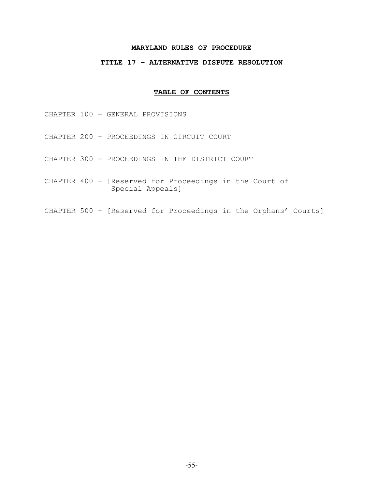# **TITLE 17 – ALTERNATIVE DISPUTE RESOLUTION**

# **TABLE OF CONTENTS**

CHAPTER 100 – GENERAL PROVISIONS

- CHAPTER 200 PROCEEDINGS IN CIRCUIT COURT
- CHAPTER 300 PROCEEDINGS IN THE DISTRICT COURT
- CHAPTER 400 [Reserved for Proceedings in the Court of Special Appeals]
- CHAPTER 500 [Reserved for Proceedings in the Orphans' Courts]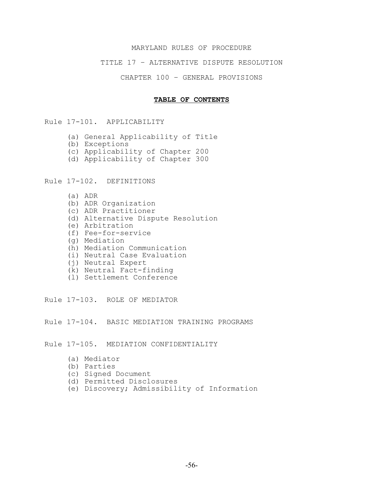## TITLE 17 – ALTERNATIVE DISPUTE RESOLUTION

CHAPTER 100 – GENERAL PROVISIONS

#### **TABLE OF CONTENTS**

Rule 17-101. APPLICABILITY

- (a) General Applicability of Title
- (b) Exceptions
- (c) Applicability of Chapter 200
- (d) Applicability of Chapter 300

Rule 17-102. DEFINITIONS

- (a) ADR
- (b) ADR Organization
- (c) ADR Practitioner
- (d) Alternative Dispute Resolution
- (e) Arbitration
- (f) Fee-for-service
- (g) Mediation
- (h) Mediation Communication
- (i) Neutral Case Evaluation
- (j) Neutral Expert
- (k) Neutral Fact-finding
- (l) Settlement Conference

Rule 17-103. ROLE OF MEDIATOR

Rule 17-104. BASIC MEDIATION TRAINING PROGRAMS

Rule 17-105. MEDIATION CONFIDENTIALITY

- (a) Mediator
- (b) Parties
- (c) Signed Document
- (d) Permitted Disclosures
- (e) Discovery; Admissibility of Information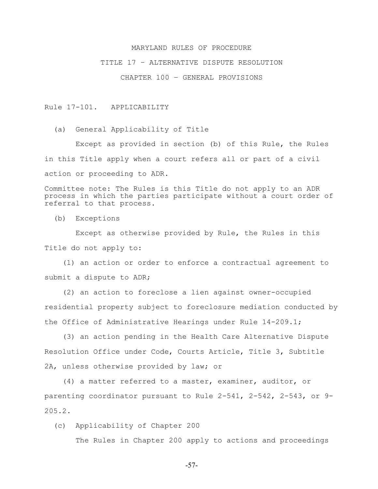#### TITLE 17 – ALTERNATIVE DISPUTE RESOLUTION

CHAPTER 100 – GENERAL PROVISIONS

Rule 17-101. APPLICABILITY

(a) General Applicability of Title

 Except as provided in section (b) of this Rule, the Rules in this Title apply when a court refers all or part of a civil action or proceeding to ADR.

Committee note: The Rules is this Title do not apply to an ADR process in which the parties participate without a court order of referral to that process.

(b) Exceptions

 Except as otherwise provided by Rule, the Rules in this Title do not apply to:

 (1) an action or order to enforce a contractual agreement to submit a dispute to ADR;

 (2) an action to foreclose a lien against owner-occupied residential property subject to foreclosure mediation conducted by the Office of Administrative Hearings under Rule 14-209.1;

 (3) an action pending in the Health Care Alternative Dispute Resolution Office under Code, Courts Article, Title 3, Subtitle 2A, unless otherwise provided by law; or

 (4) a matter referred to a master, examiner, auditor, or parenting coordinator pursuant to Rule 2-541, 2-542, 2-543, or 9- 205.2.

(c) Applicability of Chapter 200

The Rules in Chapter 200 apply to actions and proceedings

-57-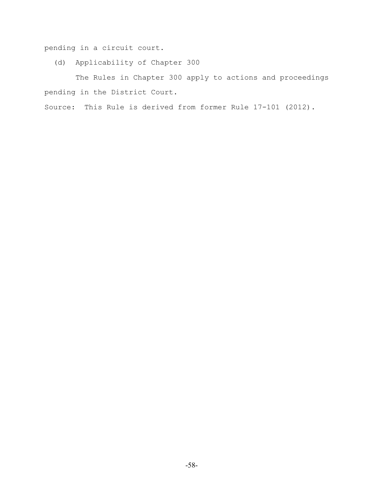pending in a circuit court.

(d) Applicability of Chapter 300

 The Rules in Chapter 300 apply to actions and proceedings pending in the District Court.

Source: This Rule is derived from former Rule 17-101 (2012).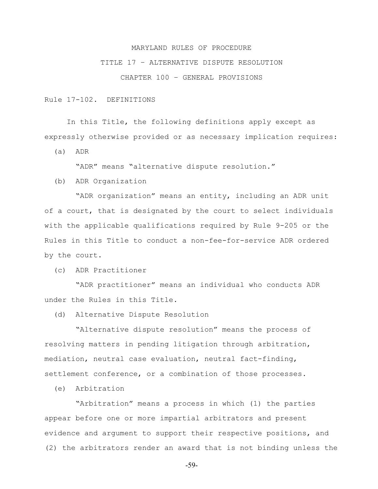## TITLE 17 – ALTERNATIVE DISPUTE RESOLUTION

CHAPTER 100 – GENERAL PROVISIONS

Rule 17-102. DEFINITIONS

In this Title, the following definitions apply except as expressly otherwise provided or as necessary implication requires:

(a) ADR

"ADR" means "alternative dispute resolution."

(b) ADR Organization

 "ADR organization" means an entity, including an ADR unit of a court, that is designated by the court to select individuals with the applicable qualifications required by Rule 9-205 or the Rules in this Title to conduct a non-fee-for-service ADR ordered by the court.

(c) ADR Practitioner

 "ADR practitioner" means an individual who conducts ADR under the Rules in this Title.

(d) Alternative Dispute Resolution

 "Alternative dispute resolution" means the process of resolving matters in pending litigation through arbitration, mediation, neutral case evaluation, neutral fact-finding, settlement conference, or a combination of those processes.

(e) Arbitration

 "Arbitration" means a process in which (1) the parties appear before one or more impartial arbitrators and present evidence and argument to support their respective positions, and (2) the arbitrators render an award that is not binding unless the

-59-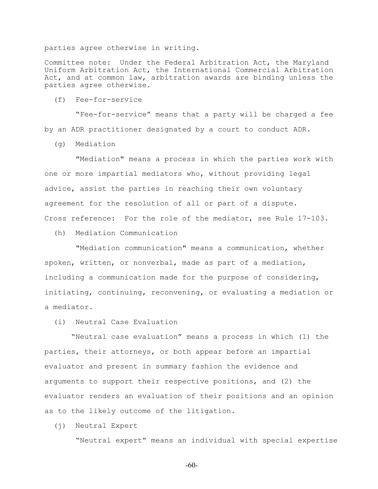parties agree otherwise in writing.

Committee note: Under the Federal Arbitration Act, the Maryland Uniform Arbitration Act, the International Commercial Arbitration Act, and at common law, arbitration awards are binding unless the parties agree otherwise.

(f) Fee-for-service

 "Fee-for-service" means that a party will be charged a fee by an ADR practitioner designated by a court to conduct ADR.

(g) Mediation

 "Mediation" means a process in which the parties work with one or more impartial mediators who, without providing legal advice, assist the parties in reaching their own voluntary agreement for the resolution of all or part of a dispute. Cross reference: For the role of the mediator, see Rule 17-103.

(h) Mediation Communication

 "Mediation communication" means a communication, whether spoken, written, or nonverbal, made as part of a mediation, including a communication made for the purpose of considering, initiating, continuing, reconvening, or evaluating a mediation or a mediator.

(i) Neutral Case Evaluation

 "Neutral case evaluation" means a process in which (1) the parties, their attorneys, or both appear before an impartial evaluator and present in summary fashion the evidence and arguments to support their respective positions, and (2) the evaluator renders an evaluation of their positions and an opinion as to the likely outcome of the litigation.

(j) Neutral Expert

"Neutral expert" means an individual with special expertise

-60-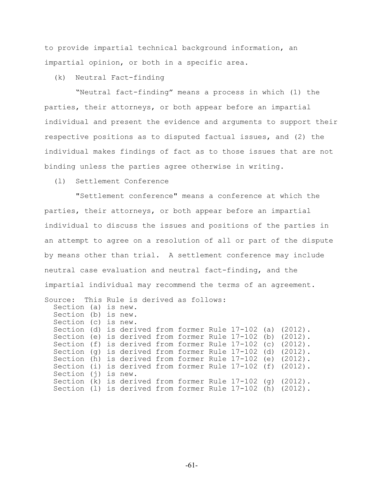to provide impartial technical background information, an impartial opinion, or both in a specific area.

(k) Neutral Fact-finding

 "Neutral fact-finding" means a process in which (1) the parties, their attorneys, or both appear before an impartial individual and present the evidence and arguments to support their respective positions as to disputed factual issues, and (2) the individual makes findings of fact as to those issues that are not binding unless the parties agree otherwise in writing.

(l) Settlement Conference

 "Settlement conference" means a conference at which the parties, their attorneys, or both appear before an impartial individual to discuss the issues and positions of the parties in an attempt to agree on a resolution of all or part of the dispute by means other than trial. A settlement conference may include neutral case evaluation and neutral fact-finding, and the impartial individual may recommend the terms of an agreement. Source: This Rule is derived as follows: Section (a) is new. Section (b) is new. Section (c) is new. Section (d) is derived from former Rule 17-102 (a) (2012). Section (e) is derived from former Rule 17-102 (b) (2012). Section (f) is derived from former Rule 17-102 (c) (2012). Section (g) is derived from former Rule 17-102 (d) (2012). Section (h) is derived from former Rule 17-102 (e) (2012). Section (i) is derived from former Rule 17-102 (f) (2012).

 Section (j) is new. Section (k) is derived from former Rule 17-102 (g) (2012). Section (l) is derived from former Rule 17-102 (h) (2012).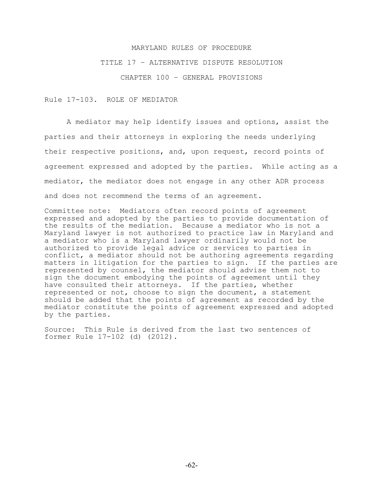#### TITLE 17 – ALTERNATIVE DISPUTE RESOLUTION

CHAPTER 100 – GENERAL PROVISIONS

Rule 17-103. ROLE OF MEDIATOR

A mediator may help identify issues and options, assist the parties and their attorneys in exploring the needs underlying their respective positions, and, upon request, record points of agreement expressed and adopted by the parties. While acting as a mediator, the mediator does not engage in any other ADR process and does not recommend the terms of an agreement.

Committee note: Mediators often record points of agreement expressed and adopted by the parties to provide documentation of the results of the mediation. Because a mediator who is not a Maryland lawyer is not authorized to practice law in Maryland and a mediator who is a Maryland lawyer ordinarily would not be authorized to provide legal advice or services to parties in conflict, a mediator should not be authoring agreements regarding matters in litigation for the parties to sign. If the parties are represented by counsel, the mediator should advise them not to sign the document embodying the points of agreement until they have consulted their attorneys. If the parties, whether represented or not, choose to sign the document, a statement should be added that the points of agreement as recorded by the mediator constitute the points of agreement expressed and adopted by the parties.

Source: This Rule is derived from the last two sentences of former Rule 17-102 (d) (2012).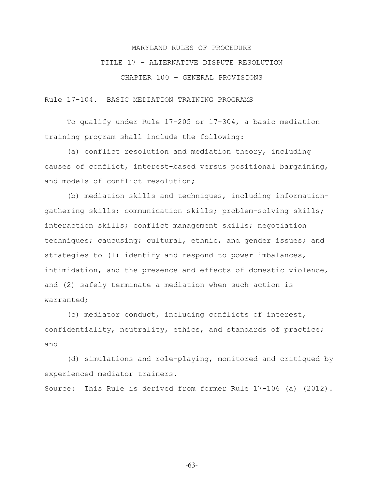# TITLE 17 – ALTERNATIVE DISPUTE RESOLUTION

CHAPTER 100 – GENERAL PROVISIONS

Rule 17-104. BASIC MEDIATION TRAINING PROGRAMS

To qualify under Rule 17-205 or 17-304, a basic mediation training program shall include the following:

(a) conflict resolution and mediation theory, including causes of conflict, interest-based versus positional bargaining, and models of conflict resolution;

(b) mediation skills and techniques, including informationgathering skills; communication skills; problem-solving skills; interaction skills; conflict management skills; negotiation techniques; caucusing; cultural, ethnic, and gender issues; and strategies to (1) identify and respond to power imbalances, intimidation, and the presence and effects of domestic violence, and (2) safely terminate a mediation when such action is warranted;

(c) mediator conduct, including conflicts of interest, confidentiality, neutrality, ethics, and standards of practice; and

(d) simulations and role-playing, monitored and critiqued by experienced mediator trainers.

Source: This Rule is derived from former Rule 17-106 (a) (2012).

-63-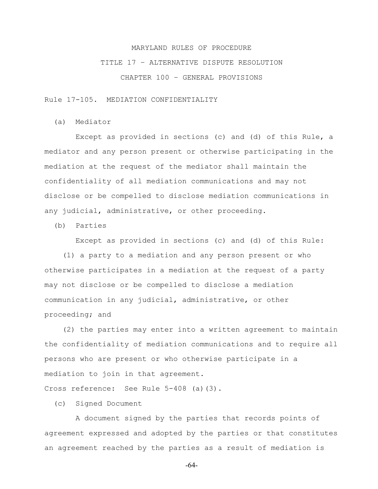# TITLE 17 – ALTERNATIVE DISPUTE RESOLUTION

CHAPTER 100 – GENERAL PROVISIONS

Rule 17-105. MEDIATION CONFIDENTIALITY

(a) Mediator

 Except as provided in sections (c) and (d) of this Rule, a mediator and any person present or otherwise participating in the mediation at the request of the mediator shall maintain the confidentiality of all mediation communications and may not disclose or be compelled to disclose mediation communications in any judicial, administrative, or other proceeding.

(b) Parties

Except as provided in sections (c) and (d) of this Rule:

 (1) a party to a mediation and any person present or who otherwise participates in a mediation at the request of a party may not disclose or be compelled to disclose a mediation communication in any judicial, administrative, or other proceeding; and

 (2) the parties may enter into a written agreement to maintain the confidentiality of mediation communications and to require all persons who are present or who otherwise participate in a mediation to join in that agreement.

Cross reference: See Rule 5-408 (a)(3).

(c) Signed Document

 A document signed by the parties that records points of agreement expressed and adopted by the parties or that constitutes an agreement reached by the parties as a result of mediation is

-64-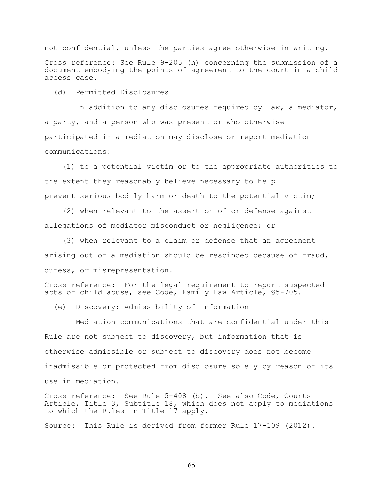not confidential, unless the parties agree otherwise in writing.

Cross reference: See Rule 9-205 (h) concerning the submission of a document embodying the points of agreement to the court in a child access case.

(d) Permitted Disclosures

 In addition to any disclosures required by law, a mediator, a party, and a person who was present or who otherwise participated in a mediation may disclose or report mediation communications:

 (1) to a potential victim or to the appropriate authorities to the extent they reasonably believe necessary to help prevent serious bodily harm or death to the potential victim;

 (2) when relevant to the assertion of or defense against allegations of mediator misconduct or negligence; or

 (3) when relevant to a claim or defense that an agreement arising out of a mediation should be rescinded because of fraud, duress, or misrepresentation.

Cross reference: For the legal requirement to report suspected acts of child abuse, see Code, Family Law Article, §5-705.

(e) Discovery; Admissibility of Information

 Mediation communications that are confidential under this Rule are not subject to discovery, but information that is otherwise admissible or subject to discovery does not become inadmissible or protected from disclosure solely by reason of its use in mediation.

Cross reference: See Rule 5-408 (b). See also Code, Courts Article, Title 3, Subtitle 18, which does not apply to mediations to which the Rules in Title 17 apply.

Source: This Rule is derived from former Rule 17-109 (2012).

-65-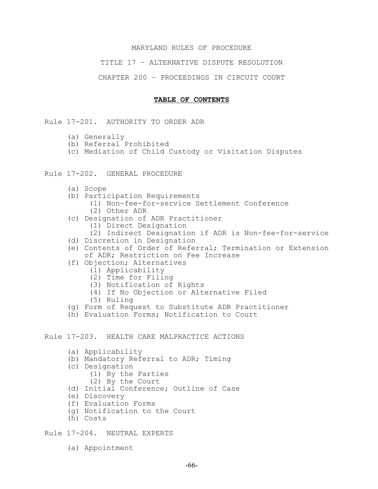#### TITLE 17 – ALTERNATIVE DISPUTE RESOLUTION

#### CHAPTER 200 – PROCEEDINGS IN CIRCUIT COURT

#### **TABLE OF CONTENTS**

Rule 17-201. AUTHORITY TO ORDER ADR

- (a) Generally
- (b) Referral Prohibited
- (c) Mediation of Child Custody or Visitation Disputes
- Rule 17-202. GENERAL PROCEDURE
	- (a) Scope
	- (b) Participation Requirements
		- (1) Non-fee-for-service Settlement Conference
		- (2) Other ADR
	- (c) Designation of ADR Practitioner
		- (1) Direct Designation
		- (2) Indirect Designation if ADR is Non-fee-for-service
	- (d) Discretion in Designation
	- (e) Contents of Order of Referral; Termination or Extension of ADR; Restriction on Fee Increase
	- (f) Objection; Alternatives
		- (1) Applicability
			- (2) Time for Filing
			- (3) Notification of Rights
			- (4) If No Objection or Alternative Filed
			- (5) Ruling
	- (g) Form of Request to Substitute ADR Practitioner
	- (h) Evaluation Forms; Notification to Court

Rule 17-203. HEALTH CARE MALPRACTICE ACTIONS

- (a) Applicability
- (b) Mandatory Referral to ADR; Timing
- (c) Designation
	- (1) By the Parties
	- (2) By the Court
- (d) Initial Conference; Outline of Case
- (e) Discovery
- (f) Evaluation Forms
- (g) Notification to the Court
- (h) Costs

Rule 17-204. NEUTRAL EXPERTS

(a) Appointment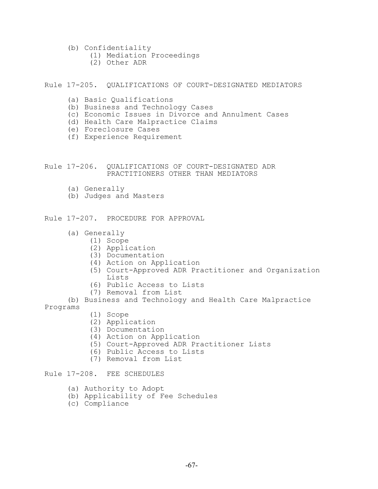- (b) Confidentiality
	- (1) Mediation Proceedings
	- (2) Other ADR

#### Rule 17-205. QUALIFICATIONS OF COURT-DESIGNATED MEDIATORS

- (a) Basic Qualifications
- (b) Business and Technology Cases
- (c) Economic Issues in Divorce and Annulment Cases
- (d) Health Care Malpractice Claims
- (e) Foreclosure Cases
- (f) Experience Requirement

#### Rule 17-206. QUALIFICATIONS OF COURT-DESIGNATED ADR PRACTITIONERS OTHER THAN MEDIATORS

- (a) Generally
- (b) Judges and Masters

Rule 17-207. PROCEDURE FOR APPROVAL

- (a) Generally
	- (1) Scope
		- (2) Application
		- (3) Documentation
		- (4) Action on Application
		- (5) Court-Approved ADR Practitioner and Organization Lists
		- (6) Public Access to Lists
		- (7) Removal from List

(b) Business and Technology and Health Care Malpractice Programs

- (1) Scope
- (2) Application
- (3) Documentation
- (4) Action on Application
- (5) Court-Approved ADR Practitioner Lists
- (6) Public Access to Lists
- (7) Removal from List

# Rule 17-208. FEE SCHEDULES

- (a) Authority to Adopt
- (b) Applicability of Fee Schedules
- (c) Compliance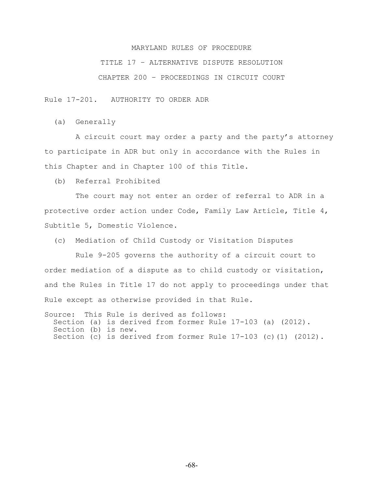# TITLE 17 – ALTERNATIVE DISPUTE RESOLUTION

# CHAPTER 200 – PROCEEDINGS IN CIRCUIT COURT

Rule 17-201. AUTHORITY TO ORDER ADR

(a) Generally

 A circuit court may order a party and the party's attorney to participate in ADR but only in accordance with the Rules in this Chapter and in Chapter 100 of this Title.

(b) Referral Prohibited

 The court may not enter an order of referral to ADR in a protective order action under Code, Family Law Article, Title 4, Subtitle 5, Domestic Violence.

(c) Mediation of Child Custody or Visitation Disputes

 Rule 9-205 governs the authority of a circuit court to order mediation of a dispute as to child custody or visitation, and the Rules in Title 17 do not apply to proceedings under that Rule except as otherwise provided in that Rule.

Source: This Rule is derived as follows: Section (a) is derived from former Rule 17-103 (a) (2012). Section (b) is new. Section (c) is derived from former Rule 17-103 (c)(1) (2012).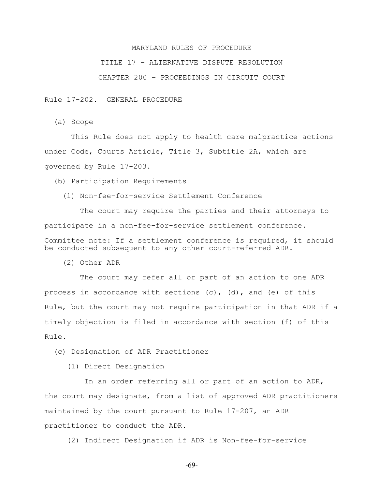## TITLE 17 – ALTERNATIVE DISPUTE RESOLUTION

#### CHAPTER 200 – PROCEEDINGS IN CIRCUIT COURT

Rule 17-202. GENERAL PROCEDURE

(a) Scope

 This Rule does not apply to health care malpractice actions under Code, Courts Article, Title 3, Subtitle 2A, which are governed by Rule 17-203.

(b) Participation Requirements

(1) Non-fee-for-service Settlement Conference

 The court may require the parties and their attorneys to participate in a non-fee-for-service settlement conference. Committee note: If a settlement conference is required, it should be conducted subsequent to any other court-referred ADR.

(2) Other ADR

 The court may refer all or part of an action to one ADR process in accordance with sections (c), (d), and (e) of this Rule, but the court may not require participation in that ADR if a timely objection is filed in accordance with section (f) of this Rule.

(c) Designation of ADR Practitioner

(1) Direct Designation

 In an order referring all or part of an action to ADR, the court may designate, from a list of approved ADR practitioners maintained by the court pursuant to Rule 17-207, an ADR practitioner to conduct the ADR.

(2) Indirect Designation if ADR is Non-fee-for-service

-69-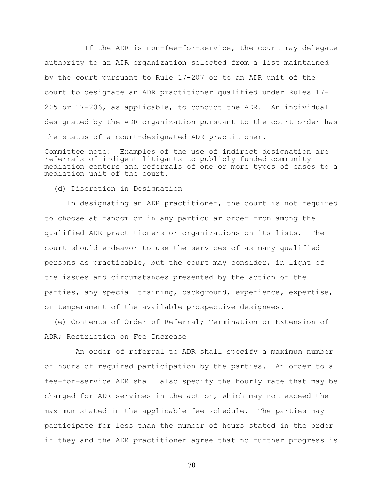If the ADR is non-fee-for-service, the court may delegate authority to an ADR organization selected from a list maintained by the court pursuant to Rule 17-207 or to an ADR unit of the court to designate an ADR practitioner qualified under Rules 17- 205 or 17-206, as applicable, to conduct the ADR. An individual designated by the ADR organization pursuant to the court order has the status of a court-designated ADR practitioner.

Committee note: Examples of the use of indirect designation are referrals of indigent litigants to publicly funded community mediation centers and referrals of one or more types of cases to a mediation unit of the court.

(d) Discretion in Designation

In designating an ADR practitioner, the court is not required to choose at random or in any particular order from among the qualified ADR practitioners or organizations on its lists. The court should endeavor to use the services of as many qualified persons as practicable, but the court may consider, in light of the issues and circumstances presented by the action or the parties, any special training, background, experience, expertise, or temperament of the available prospective designees.

 (e) Contents of Order of Referral; Termination or Extension of ADR; Restriction on Fee Increase

 An order of referral to ADR shall specify a maximum number of hours of required participation by the parties. An order to a fee-for-service ADR shall also specify the hourly rate that may be charged for ADR services in the action, which may not exceed the maximum stated in the applicable fee schedule. The parties may participate for less than the number of hours stated in the order if they and the ADR practitioner agree that no further progress is

-70-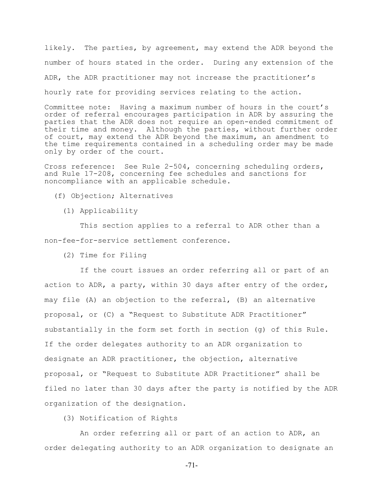likely. The parties, by agreement, may extend the ADR beyond the number of hours stated in the order. During any extension of the ADR, the ADR practitioner may not increase the practitioner's hourly rate for providing services relating to the action.

Committee note: Having a maximum number of hours in the court's order of referral encourages participation in ADR by assuring the parties that the ADR does not require an open-ended commitment of their time and money. Although the parties, without further order of court, may extend the ADR beyond the maximum, an amendment to the time requirements contained in a scheduling order may be made only by order of the court.

Cross reference: See Rule 2-504, concerning scheduling orders, and Rule 17-208, concerning fee schedules and sanctions for noncompliance with an applicable schedule.

- (f) Objection; Alternatives
	- (1) Applicability

 This section applies to a referral to ADR other than a non-fee-for-service settlement conference.

(2) Time for Filing

 If the court issues an order referring all or part of an action to ADR, a party, within 30 days after entry of the order, may file (A) an objection to the referral, (B) an alternative proposal, or (C) a "Request to Substitute ADR Practitioner" substantially in the form set forth in section (g) of this Rule. If the order delegates authority to an ADR organization to designate an ADR practitioner, the objection, alternative proposal, or "Request to Substitute ADR Practitioner" shall be filed no later than 30 days after the party is notified by the ADR organization of the designation.

(3) Notification of Rights

 An order referring all or part of an action to ADR, an order delegating authority to an ADR organization to designate an

-71-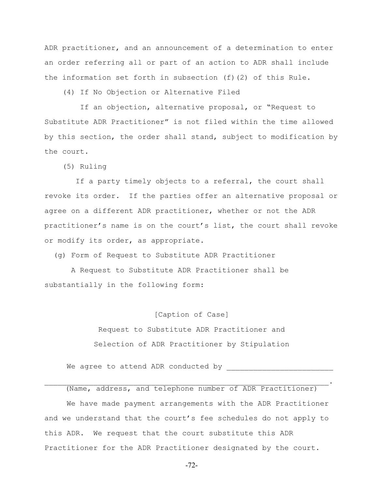ADR practitioner, and an announcement of a determination to enter an order referring all or part of an action to ADR shall include the information set forth in subsection (f)(2) of this Rule.

(4) If No Objection or Alternative Filed

 If an objection, alternative proposal, or "Request to Substitute ADR Practitioner" is not filed within the time allowed by this section, the order shall stand, subject to modification by the court.

(5) Ruling

 If a party timely objects to a referral, the court shall revoke its order. If the parties offer an alternative proposal or agree on a different ADR practitioner, whether or not the ADR practitioner's name is on the court's list, the court shall revoke or modify its order, as appropriate.

(g) Form of Request to Substitute ADR Practitioner

 A Request to Substitute ADR Practitioner shall be substantially in the following form:

# [Caption of Case]

Request to Substitute ADR Practitioner and Selection of ADR Practitioner by Stipulation

We agree to attend ADR conducted by

(Name, address, and telephone number of ADR Practitioner) We have made payment arrangements with the ADR Practitioner and we understand that the court's fee schedules do not apply to this ADR. We request that the court substitute this ADR Practitioner for the ADR Practitioner designated by the court.

 $\mathcal{L}_\mathcal{L} = \mathcal{L}_\mathcal{L} = \mathcal{L}_\mathcal{L} = \mathcal{L}_\mathcal{L} = \mathcal{L}_\mathcal{L} = \mathcal{L}_\mathcal{L} = \mathcal{L}_\mathcal{L} = \mathcal{L}_\mathcal{L} = \mathcal{L}_\mathcal{L} = \mathcal{L}_\mathcal{L} = \mathcal{L}_\mathcal{L} = \mathcal{L}_\mathcal{L} = \mathcal{L}_\mathcal{L} = \mathcal{L}_\mathcal{L} = \mathcal{L}_\mathcal{L} = \mathcal{L}_\mathcal{L} = \mathcal{L}_\mathcal{L}$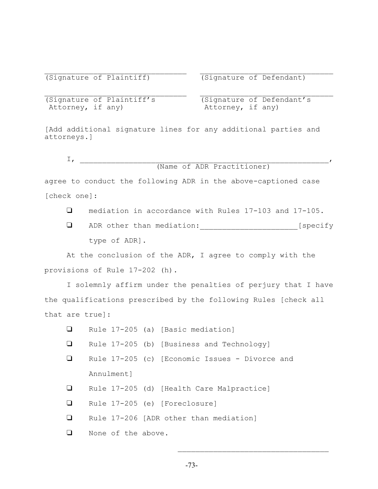(Signature of Plaintiff) (Signature of Defendant)

(Signature of Plaintiff's<br>Attorney, if any)

(Signature of Defendant's Attorney, if any)

[Add additional signature lines for any additional parties and attorneys.]

 $\mathcal{L}_\text{max} = \frac{1}{2} \sum_{i=1}^n \mathcal{L}_\text{max}(\mathbf{z}_i - \mathbf{z}_i)$ 

 $\mathbb{I}_I$  , which is the set of  $I$ (Name of ADR Practitioner)

agree to conduct the following ADR in the above-captioned case [check one]:

- mediation in accordance with Rules 17-103 and 17-105.
- ADR other than mediation:\_\_\_\_\_\_\_\_\_\_\_\_\_\_\_\_\_\_\_\_\_\_[specify type of ADR].

At the conclusion of the ADR, I agree to comply with the provisions of Rule 17-202 (h).

I solemnly affirm under the penalties of perjury that I have the qualifications prescribed by the following Rules [check all that are true]:

| $\Box$ |                    |  | Rule 17-205 (a) [Basic mediation]              |
|--------|--------------------|--|------------------------------------------------|
| $\Box$ |                    |  | Rule 17-205 (b) [Business and Technology]      |
| $\Box$ |                    |  | Rule 17-205 (c) [Economic Issues - Divorce and |
|        | Annulment]         |  |                                                |
| $\Box$ |                    |  | Rule 17-205 (d) [Health Care Malpractice]      |
| $\Box$ |                    |  | Rule 17-205 (e) [Foreclosure]                  |
| $\Box$ |                    |  | Rule 17-206 [ADR other than mediation]         |
| ⊔      | None of the above. |  |                                                |

 $\mathcal{L}_\text{max}$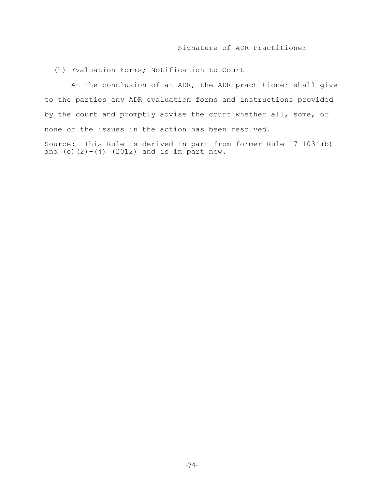# Signature of ADR Practitioner

(h) Evaluation Forms; Notification to Court

 At the conclusion of an ADR, the ADR practitioner shall give to the parties any ADR evaluation forms and instructions provided by the court and promptly advise the court whether all, some, or none of the issues in the action has been resolved.

Source: This Rule is derived in part from former Rule 17-103 (b) and  $(c)$   $(2) - (4)$   $(2012)$  and is in part new.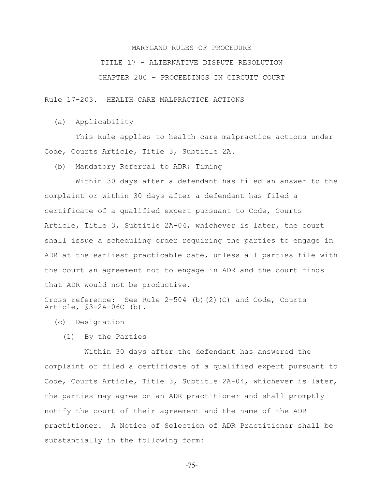# TITLE 17 – ALTERNATIVE DISPUTE RESOLUTION

CHAPTER 200 – PROCEEDINGS IN CIRCUIT COURT

Rule 17-203. HEALTH CARE MALPRACTICE ACTIONS

(a) Applicability

 This Rule applies to health care malpractice actions under Code, Courts Article, Title 3, Subtitle 2A.

(b) Mandatory Referral to ADR; Timing

 Within 30 days after a defendant has filed an answer to the complaint or within 30 days after a defendant has filed a certificate of a qualified expert pursuant to Code, Courts Article, Title 3, Subtitle 2A-04, whichever is later, the court shall issue a scheduling order requiring the parties to engage in ADR at the earliest practicable date, unless all parties file with the court an agreement not to engage in ADR and the court finds that ADR would not be productive.

Cross reference: See Rule 2-504 (b)(2)(C) and Code, Courts Article, §3-2A-06C (b).

- (c) Designation
	- (1) By the Parties

 Within 30 days after the defendant has answered the complaint or filed a certificate of a qualified expert pursuant to Code, Courts Article, Title 3, Subtitle 2A-04, whichever is later, the parties may agree on an ADR practitioner and shall promptly notify the court of their agreement and the name of the ADR practitioner. A Notice of Selection of ADR Practitioner shall be substantially in the following form:

-75-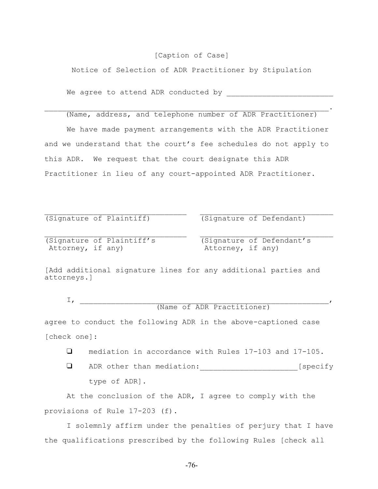### [Caption of Case]

Notice of Selection of ADR Practitioner by Stipulation

We agree to attend ADR conducted by

# $\mathcal{L}_\mathcal{L} = \mathcal{L}_\mathcal{L} = \mathcal{L}_\mathcal{L} = \mathcal{L}_\mathcal{L} = \mathcal{L}_\mathcal{L} = \mathcal{L}_\mathcal{L} = \mathcal{L}_\mathcal{L} = \mathcal{L}_\mathcal{L} = \mathcal{L}_\mathcal{L} = \mathcal{L}_\mathcal{L} = \mathcal{L}_\mathcal{L} = \mathcal{L}_\mathcal{L} = \mathcal{L}_\mathcal{L} = \mathcal{L}_\mathcal{L} = \mathcal{L}_\mathcal{L} = \mathcal{L}_\mathcal{L} = \mathcal{L}_\mathcal{L}$ (Name, address, and telephone number of ADR Practitioner)

We have made payment arrangements with the ADR Practitioner and we understand that the court's fee schedules do not apply to this ADR. We request that the court designate this ADR Practitioner in lieu of any court-appointed ADR Practitioner.

 $\mathcal{L}_\text{max} = \frac{1}{2} \sum_{i=1}^n \mathcal{L}_\text{max}(\mathbf{z}_i - \mathbf{z}_i)$ 

 $\mathcal{L}_\text{max} = \frac{1}{2} \sum_{i=1}^n \mathcal{L}_\text{max}(\mathbf{z}_i - \mathbf{z}_i)$ 

(Signature of Plaintiff) (Signature of Defendant)

(Signature of Plaintiff's (Signature of Defendant's Attorney, if any) Attorney, if any)

[Add additional signature lines for any additional parties and attorneys.]

 $\mathbb{I}_I$  , which is the set of  $I$ (Name of ADR Practitioner)

agree to conduct the following ADR in the above-captioned case [check one]:

mediation in accordance with Rules 17-103 and 17-105.

**Q** ADR other than mediation: [specify type of ADR].

At the conclusion of the ADR, I agree to comply with the provisions of Rule 17-203 (f).

I solemnly affirm under the penalties of perjury that I have the qualifications prescribed by the following Rules [check all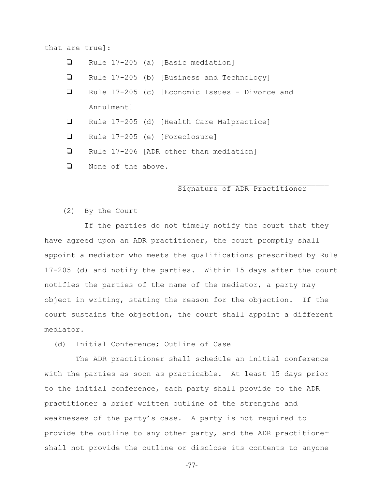that are true]:

- $\Box$  Rule 17-205 (a) [Basic mediation]
- Q Rule 17-205 (b) [Business and Technology]
- Q Rule 17-205 (c) [Economic Issues Divorce and Annulment]
- Rule 17-205 (d) [Health Care Malpractice]
- Rule 17-205 (e) [Foreclosure]
- Q Rule 17-206 [ADR other than mediation]
- **Q** None of the above.

# Signature of ADR Practitioner

 $\mathcal{L}_\text{max}$ 

### (2) By the Court

 If the parties do not timely notify the court that they have agreed upon an ADR practitioner, the court promptly shall appoint a mediator who meets the qualifications prescribed by Rule 17-205 (d) and notify the parties. Within 15 days after the court notifies the parties of the name of the mediator, a party may object in writing, stating the reason for the objection. If the court sustains the objection, the court shall appoint a different mediator.

(d) Initial Conference; Outline of Case

 The ADR practitioner shall schedule an initial conference with the parties as soon as practicable. At least 15 days prior to the initial conference, each party shall provide to the ADR practitioner a brief written outline of the strengths and weaknesses of the party's case. A party is not required to provide the outline to any other party, and the ADR practitioner shall not provide the outline or disclose its contents to anyone

-77-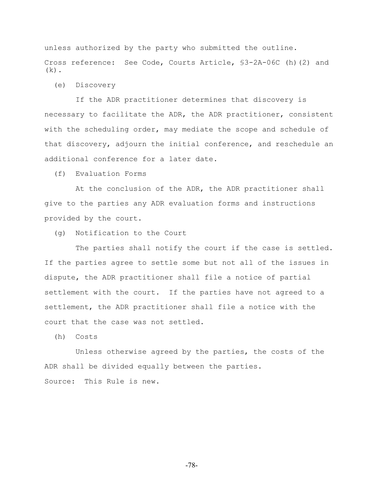unless authorized by the party who submitted the outline. Cross reference: See Code, Courts Article, §3-2A-06C (h)(2) and  $(k)$ .

(e) Discovery

 If the ADR practitioner determines that discovery is necessary to facilitate the ADR, the ADR practitioner, consistent with the scheduling order, may mediate the scope and schedule of that discovery, adjourn the initial conference, and reschedule an additional conference for a later date.

(f) Evaluation Forms

 At the conclusion of the ADR, the ADR practitioner shall give to the parties any ADR evaluation forms and instructions provided by the court.

(g) Notification to the Court

 The parties shall notify the court if the case is settled. If the parties agree to settle some but not all of the issues in dispute, the ADR practitioner shall file a notice of partial settlement with the court. If the parties have not agreed to a settlement, the ADR practitioner shall file a notice with the court that the case was not settled.

(h) Costs

 Unless otherwise agreed by the parties, the costs of the ADR shall be divided equally between the parties. Source: This Rule is new.

-78-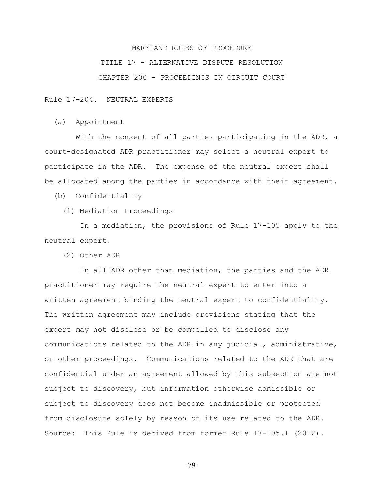# TITLE 17 – ALTERNATIVE DISPUTE RESOLUTION CHAPTER 200 - PROCEEDINGS IN CIRCUIT COURT

Rule 17-204. NEUTRAL EXPERTS

(a) Appointment

With the consent of all parties participating in the ADR, a court-designated ADR practitioner may select a neutral expert to participate in the ADR. The expense of the neutral expert shall be allocated among the parties in accordance with their agreement.

(b) Confidentiality

(1) Mediation Proceedings

 In a mediation, the provisions of Rule 17-105 apply to the neutral expert.

(2) Other ADR

 In all ADR other than mediation, the parties and the ADR practitioner may require the neutral expert to enter into a written agreement binding the neutral expert to confidentiality. The written agreement may include provisions stating that the expert may not disclose or be compelled to disclose any communications related to the ADR in any judicial, administrative, or other proceedings. Communications related to the ADR that are confidential under an agreement allowed by this subsection are not subject to discovery, but information otherwise admissible or subject to discovery does not become inadmissible or protected from disclosure solely by reason of its use related to the ADR. Source: This Rule is derived from former Rule 17-105.1 (2012).

-79-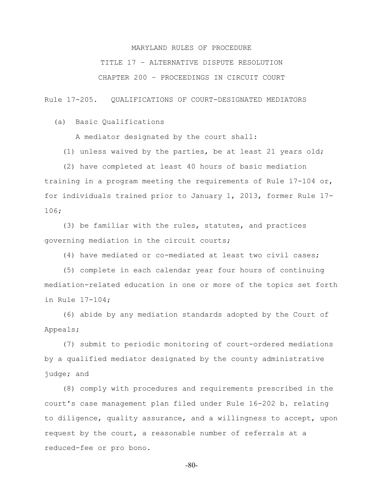TITLE 17 – ALTERNATIVE DISPUTE RESOLUTION

CHAPTER 200 – PROCEEDINGS IN CIRCUIT COURT

Rule 17-205. QUALIFICATIONS OF COURT-DESIGNATED MEDIATORS

(a) Basic Qualifications

A mediator designated by the court shall:

(1) unless waived by the parties, be at least 21 years old;

 (2) have completed at least 40 hours of basic mediation training in a program meeting the requirements of Rule 17-104 or, for individuals trained prior to January 1, 2013, former Rule 17- 106;

 (3) be familiar with the rules, statutes, and practices governing mediation in the circuit courts;

(4) have mediated or co-mediated at least two civil cases;

 (5) complete in each calendar year four hours of continuing mediation-related education in one or more of the topics set forth in Rule 17-104;

 (6) abide by any mediation standards adopted by the Court of Appeals;

 (7) submit to periodic monitoring of court-ordered mediations by a qualified mediator designated by the county administrative judge; and

 (8) comply with procedures and requirements prescribed in the court's case management plan filed under Rule 16-202 b. relating to diligence, quality assurance, and a willingness to accept, upon request by the court, a reasonable number of referrals at a reduced-fee or pro bono.

-80-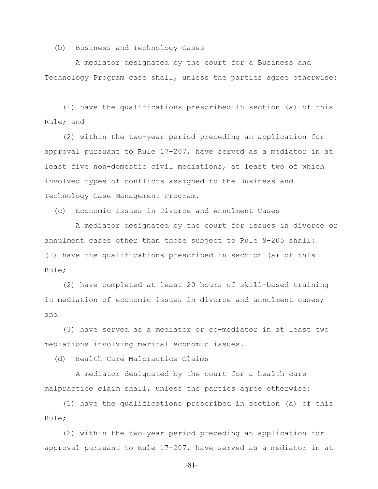(b) Business and Technology Cases

 A mediator designated by the court for a Business and Technology Program case shall, unless the parties agree otherwise:

 (1) have the qualifications prescribed in section (a) of this Rule; and

 (2) within the two-year period preceding an application for approval pursuant to Rule 17-207, have served as a mediator in at least five non-domestic civil mediations, at least two of which involved types of conflicts assigned to the Business and Technology Case Management Program.

(c) Economic Issues in Divorce and Annulment Cases

 A mediator designated by the court for issues in divorce or annulment cases other than those subject to Rule 9-205 shall: (1) have the qualifications prescribed in section (a) of this Rule;

 (2) have completed at least 20 hours of skill-based training in mediation of economic issues in divorce and annulment cases: and

 (3) have served as a mediator or co-mediator in at least two mediations involving marital economic issues.

(d) Health Care Malpractice Claims

 A mediator designated by the court for a health care malpractice claim shall, unless the parties agree otherwise:

 (1) have the qualifications prescribed in section (a) of this Rule;

 (2) within the two-year period preceding an application for approval pursuant to Rule 17-207, have served as a mediator in at

-81-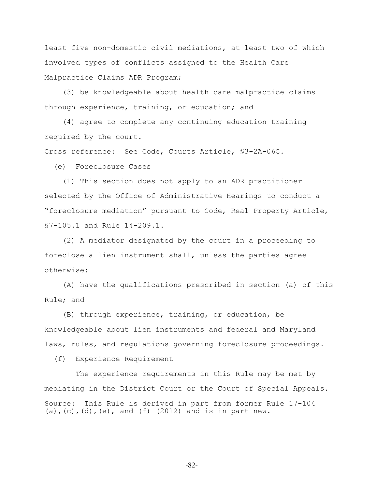least five non-domestic civil mediations, at least two of which involved types of conflicts assigned to the Health Care Malpractice Claims ADR Program;

 (3) be knowledgeable about health care malpractice claims through experience, training, or education; and

 (4) agree to complete any continuing education training required by the court.

Cross reference: See Code, Courts Article, §3-2A-06C.

(e) Foreclosure Cases

 (1) This section does not apply to an ADR practitioner selected by the Office of Administrative Hearings to conduct a "foreclosure mediation" pursuant to Code, Real Property Article, §7-105.1 and Rule 14-209.1.

 (2) A mediator designated by the court in a proceeding to foreclose a lien instrument shall, unless the parties agree otherwise:

 (A) have the qualifications prescribed in section (a) of this Rule; and

 (B) through experience, training, or education, be knowledgeable about lien instruments and federal and Maryland laws, rules, and regulations governing foreclosure proceedings.

(f) Experience Requirement

 The experience requirements in this Rule may be met by mediating in the District Court or the Court of Special Appeals. Source: This Rule is derived in part from former Rule 17-104 (a),(c),(d),(e), and (f) (2012) and is in part new.

-82-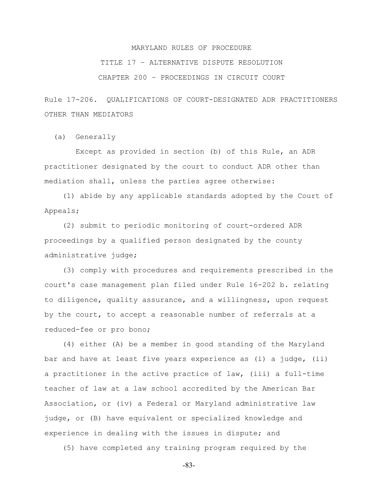# TITLE 17 – ALTERNATIVE DISPUTE RESOLUTION

CHAPTER 200 – PROCEEDINGS IN CIRCUIT COURT

Rule 17-206. QUALIFICATIONS OF COURT-DESIGNATED ADR PRACTITIONERS OTHER THAN MEDIATORS

(a) Generally

 Except as provided in section (b) of this Rule, an ADR practitioner designated by the court to conduct ADR other than mediation shall, unless the parties agree otherwise:

 (1) abide by any applicable standards adopted by the Court of Appeals;

 (2) submit to periodic monitoring of court-ordered ADR proceedings by a qualified person designated by the county administrative judge;

 (3) comply with procedures and requirements prescribed in the court's case management plan filed under Rule 16-202 b. relating to diligence, quality assurance, and a willingness, upon request by the court, to accept a reasonable number of referrals at a reduced-fee or pro bono;

 (4) either (A) be a member in good standing of the Maryland bar and have at least five years experience as (i) a judge, (ii) a practitioner in the active practice of law, (iii) a full-time teacher of law at a law school accredited by the American Bar Association, or (iv) a Federal or Maryland administrative law judge, or (B) have equivalent or specialized knowledge and experience in dealing with the issues in dispute; and

(5) have completed any training program required by the

-83-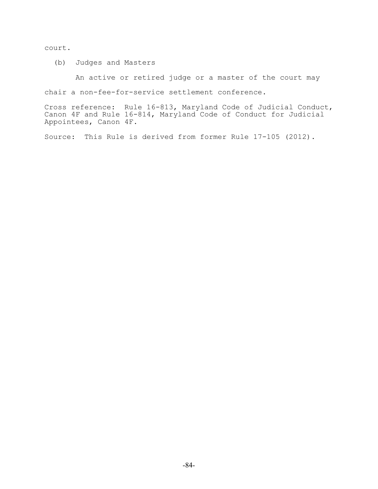court.

(b) Judges and Masters

An active or retired judge or a master of the court may

chair a non-fee-for-service settlement conference.

Cross reference: Rule 16-813, Maryland Code of Judicial Conduct, Canon 4F and Rule 16-814, Maryland Code of Conduct for Judicial Appointees, Canon 4F.

Source: This Rule is derived from former Rule 17-105 (2012).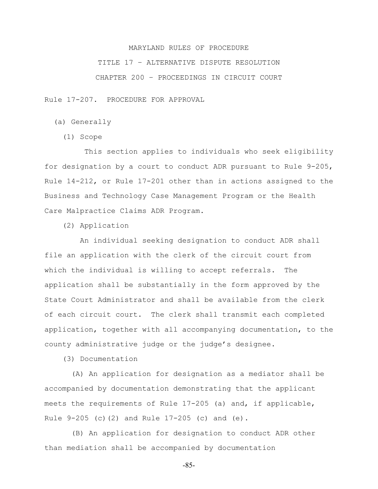TITLE 17 – ALTERNATIVE DISPUTE RESOLUTION

CHAPTER 200 – PROCEEDINGS IN CIRCUIT COURT

Rule 17-207. PROCEDURE FOR APPROVAL

- (a) Generally
	- (1) Scope

 This section applies to individuals who seek eligibility for designation by a court to conduct ADR pursuant to Rule 9-205, Rule 14-212, or Rule 17-201 other than in actions assigned to the Business and Technology Case Management Program or the Health Care Malpractice Claims ADR Program.

(2) Application

 An individual seeking designation to conduct ADR shall file an application with the clerk of the circuit court from which the individual is willing to accept referrals. The application shall be substantially in the form approved by the State Court Administrator and shall be available from the clerk of each circuit court. The clerk shall transmit each completed application, together with all accompanying documentation, to the county administrative judge or the judge's designee.

(3) Documentation

 (A) An application for designation as a mediator shall be accompanied by documentation demonstrating that the applicant meets the requirements of Rule 17-205 (a) and, if applicable, Rule 9-205 (c)(2) and Rule 17-205 (c) and (e).

 (B) An application for designation to conduct ADR other than mediation shall be accompanied by documentation

-85-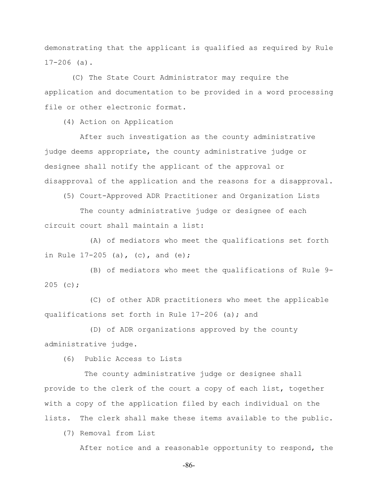demonstrating that the applicant is qualified as required by Rule  $17-206$  (a).

 (C) The State Court Administrator may require the application and documentation to be provided in a word processing file or other electronic format.

(4) Action on Application

 After such investigation as the county administrative judge deems appropriate, the county administrative judge or designee shall notify the applicant of the approval or disapproval of the application and the reasons for a disapproval.

(5) Court-Approved ADR Practitioner and Organization Lists

 The county administrative judge or designee of each circuit court shall maintain a list:

(A) of mediators who meet the qualifications set forth in Rule  $17-205$  (a), (c), and (e);

(B) of mediators who meet the qualifications of Rule 9- 205 (c);

(C) of other ADR practitioners who meet the applicable qualifications set forth in Rule 17-206 (a); and

(D) of ADR organizations approved by the county administrative judge.

(6) Public Access to Lists

 The county administrative judge or designee shall provide to the clerk of the court a copy of each list, together with a copy of the application filed by each individual on the lists. The clerk shall make these items available to the public.

(7) Removal from List

After notice and a reasonable opportunity to respond, the

-86-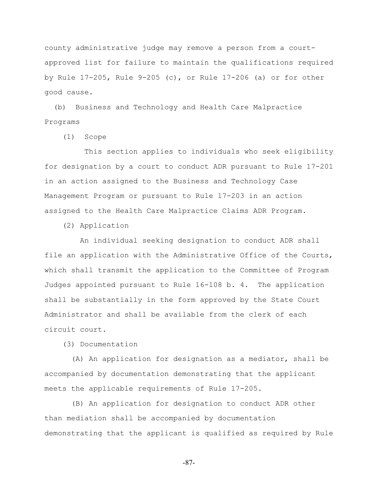county administrative judge may remove a person from a courtapproved list for failure to maintain the qualifications required by Rule 17-205, Rule 9-205 (c), or Rule 17-206 (a) or for other good cause.

 (b) Business and Technology and Health Care Malpractice Programs

(1) Scope

 This section applies to individuals who seek eligibility for designation by a court to conduct ADR pursuant to Rule 17-201 in an action assigned to the Business and Technology Case Management Program or pursuant to Rule 17-203 in an action assigned to the Health Care Malpractice Claims ADR Program.

(2) Application

 An individual seeking designation to conduct ADR shall file an application with the Administrative Office of the Courts, which shall transmit the application to the Committee of Program Judges appointed pursuant to Rule 16-108 b. 4. The application shall be substantially in the form approved by the State Court Administrator and shall be available from the clerk of each circuit court.

(3) Documentation

 (A) An application for designation as a mediator, shall be accompanied by documentation demonstrating that the applicant meets the applicable requirements of Rule 17-205.

 (B) An application for designation to conduct ADR other than mediation shall be accompanied by documentation demonstrating that the applicant is qualified as required by Rule

-87-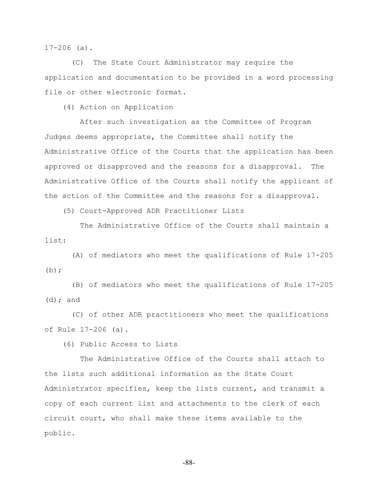17-206 (a).

 (C) The State Court Administrator may require the application and documentation to be provided in a word processing file or other electronic format.

(4) Action on Application

 After such investigation as the Committee of Program Judges deems appropriate, the Committee shall notify the Administrative Office of the Courts that the application has been approved or disapproved and the reasons for a disapproval. The Administrative Office of the Courts shall notify the applicant of the action of the Committee and the reasons for a disapproval.

(5) Court-Approved ADR Practitioner Lists

 The Administrative Office of the Courts shall maintain a list:

 (A) of mediators who meet the qualifications of Rule 17-205  $(b)$ ;

 (B) of mediators who meet the qualifications of Rule 17-205  $(d)$ ; and

 (C) of other ADR practitioners who meet the qualifications of Rule 17-206 (a).

(6) Public Access to Lists

 The Administrative Office of the Courts shall attach to the lists such additional information as the State Court Administrator specifies, keep the lists current, and transmit a copy of each current list and attachments to the clerk of each circuit court, who shall make these items available to the public.

-88-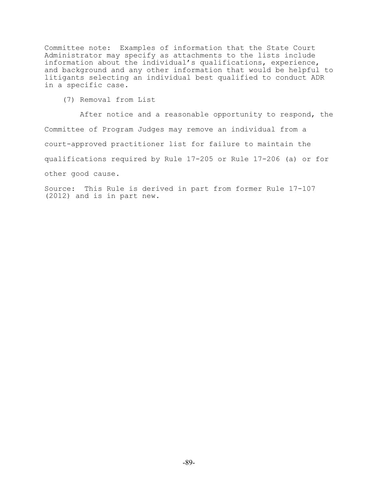Committee note: Examples of information that the State Court Administrator may specify as attachments to the lists include information about the individual's qualifications, experience, and background and any other information that would be helpful to litigants selecting an individual best qualified to conduct ADR in a specific case.

(7) Removal from List

 After notice and a reasonable opportunity to respond, the Committee of Program Judges may remove an individual from a court-approved practitioner list for failure to maintain the qualifications required by Rule 17-205 or Rule 17-206 (a) or for other good cause.

Source: This Rule is derived in part from former Rule 17-107 (2012) and is in part new.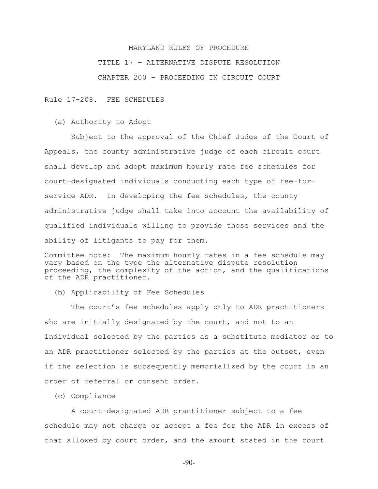# MARYLAND RULES OF PROCEDURE TITLE 17 – ALTERNATIVE DISPUTE RESOLUTION CHAPTER 200 – PROCEEDING IN CIRCUIT COURT

Rule 17-208. FEE SCHEDULES

(a) Authority to Adopt

 Subject to the approval of the Chief Judge of the Court of Appeals, the county administrative judge of each circuit court shall develop and adopt maximum hourly rate fee schedules for court-designated individuals conducting each type of fee-forservice ADR. In developing the fee schedules, the county administrative judge shall take into account the availability of qualified individuals willing to provide those services and the ability of litigants to pay for them.

Committee note: The maximum hourly rates in a fee schedule may vary based on the type the alternative dispute resolution proceeding, the complexity of the action, and the qualifications of the ADR practitioner.

(b) Applicability of Fee Schedules

 The court's fee schedules apply only to ADR practitioners who are initially designated by the court, and not to an individual selected by the parties as a substitute mediator or to an ADR practitioner selected by the parties at the outset, even if the selection is subsequently memorialized by the court in an order of referral or consent order.

(c) Compliance

 A court-designated ADR practitioner subject to a fee schedule may not charge or accept a fee for the ADR in excess of that allowed by court order, and the amount stated in the court

-90-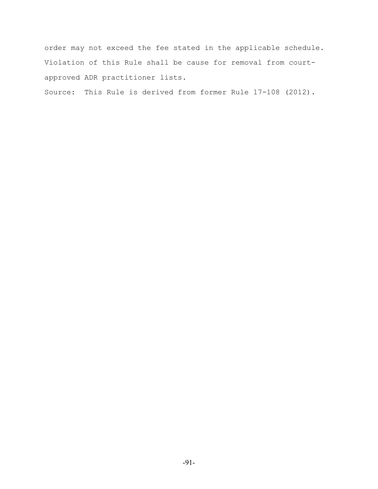order may not exceed the fee stated in the applicable schedule. Violation of this Rule shall be cause for removal from courtapproved ADR practitioner lists.

Source: This Rule is derived from former Rule 17-108 (2012).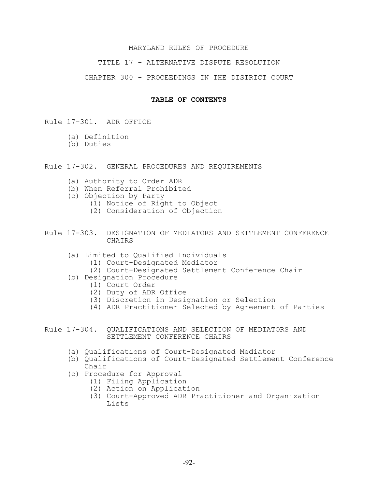TITLE 17 - ALTERNATIVE DISPUTE RESOLUTION

CHAPTER 300 - PROCEEDINGS IN THE DISTRICT COURT

# **TABLE OF CONTENTS**

Rule 17-301. ADR OFFICE

- (a) Definition
- (b) Duties
- Rule 17-302. GENERAL PROCEDURES AND REQUIREMENTS
	- (a) Authority to Order ADR
	- (b) When Referral Prohibited
	- (c) Objection by Party
		- (1) Notice of Right to Object
		- (2) Consideration of Objection
- Rule 17-303. DESIGNATION OF MEDIATORS AND SETTLEMENT CONFERENCE **CHAIRS** 
	- (a) Limited to Qualified Individuals
		- (1) Court-Designated Mediator
		- (2) Court-Designated Settlement Conference Chair
	- (b) Designation Procedure
		- (1) Court Order
		- (2) Duty of ADR Office
		- (3) Discretion in Designation or Selection
		- (4) ADR Practitioner Selected by Agreement of Parties
- Rule 17-304. QUALIFICATIONS AND SELECTION OF MEDIATORS AND SETTLEMENT CONFERENCE CHAIRS
	- (a) Qualifications of Court-Designated Mediator
	- (b) Qualifications of Court-Designated Settlement Conference Chair
	- (c) Procedure for Approval
		- (1) Filing Application
		- (2) Action on Application
		- (3) Court-Approved ADR Practitioner and Organization Lists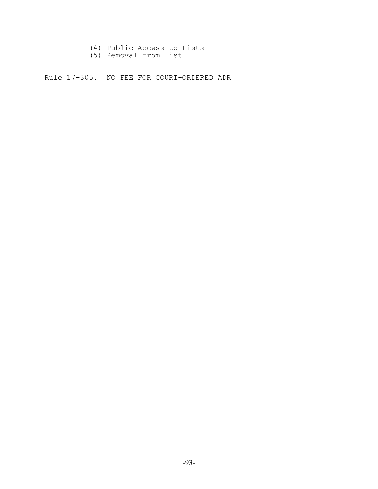- (4) Public Access to Lists
- (5) Removal from List

Rule 17-305. NO FEE FOR COURT-ORDERED ADR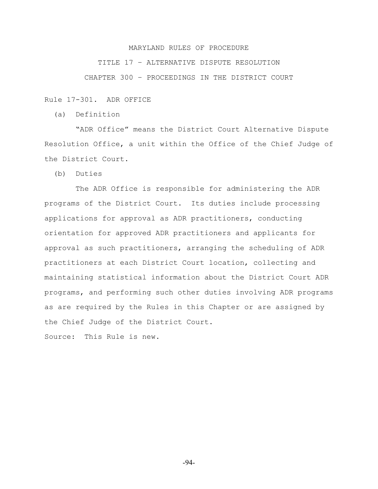TITLE 17 – ALTERNATIVE DISPUTE RESOLUTION

CHAPTER 300 – PROCEEDINGS IN THE DISTRICT COURT

Rule 17-301. ADR OFFICE

(a) Definition

 "ADR Office" means the District Court Alternative Dispute Resolution Office, a unit within the Office of the Chief Judge of the District Court.

(b) Duties

 The ADR Office is responsible for administering the ADR programs of the District Court. Its duties include processing applications for approval as ADR practitioners, conducting orientation for approved ADR practitioners and applicants for approval as such practitioners, arranging the scheduling of ADR practitioners at each District Court location, collecting and maintaining statistical information about the District Court ADR programs, and performing such other duties involving ADR programs as are required by the Rules in this Chapter or are assigned by the Chief Judge of the District Court.

Source: This Rule is new.

-94-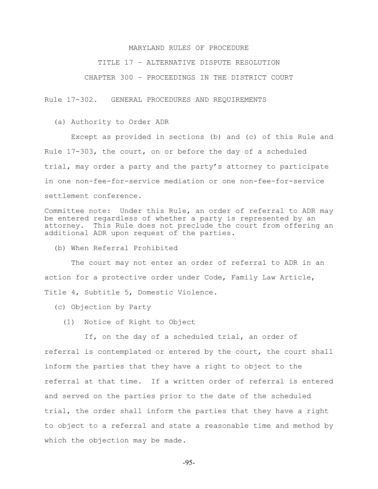TITLE 17 – ALTERNATIVE DISPUTE RESOLUTION

CHAPTER 300 – PROCEEDINGS IN THE DISTRICT COURT

Rule 17-302. GENERAL PROCEDURES AND REQUIREMENTS

(a) Authority to Order ADR

 Except as provided in sections (b) and (c) of this Rule and Rule 17-303, the court, on or before the day of a scheduled trial, may order a party and the party's attorney to participate in one non-fee-for-service mediation or one non-fee-for-service settlement conference.

Committee note: Under this Rule, an order of referral to ADR may be entered regardless of whether a party is represented by an attorney. This Rule does not preclude the court from offering an additional ADR upon request of the parties.

(b) When Referral Prohibited

 The court may not enter an order of referral to ADR in an action for a protective order under Code, Family Law Article, Title 4, Subtitle 5, Domestic Violence.

- (c) Objection by Party
	- (1) Notice of Right to Object

 If, on the day of a scheduled trial, an order of referral is contemplated or entered by the court, the court shall inform the parties that they have a right to object to the referral at that time. If a written order of referral is entered and served on the parties prior to the date of the scheduled trial, the order shall inform the parties that they have a right to object to a referral and state a reasonable time and method by which the objection may be made.

-95-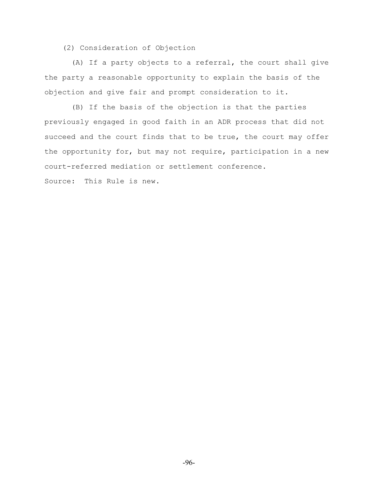(2) Consideration of Objection

 (A) If a party objects to a referral, the court shall give the party a reasonable opportunity to explain the basis of the objection and give fair and prompt consideration to it.

 (B) If the basis of the objection is that the parties previously engaged in good faith in an ADR process that did not succeed and the court finds that to be true, the court may offer the opportunity for, but may not require, participation in a new court-referred mediation or settlement conference.

Source: This Rule is new.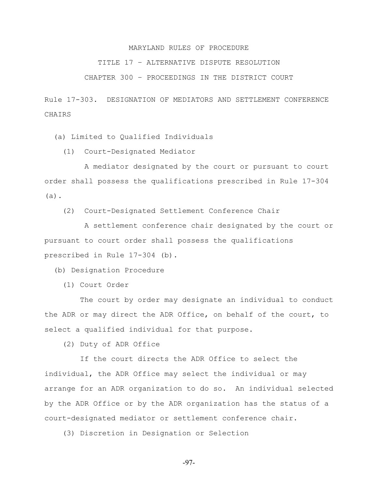TITLE 17 – ALTERNATIVE DISPUTE RESOLUTION

CHAPTER 300 – PROCEEDINGS IN THE DISTRICT COURT

Rule 17-303. DESIGNATION OF MEDIATORS AND SETTLEMENT CONFERENCE CHAIRS

(a) Limited to Qualified Individuals

(1) Court-Designated Mediator

 A mediator designated by the court or pursuant to court order shall possess the qualifications prescribed in Rule 17-304 (a).

(2) Court-Designated Settlement Conference Chair

 A settlement conference chair designated by the court or pursuant to court order shall possess the qualifications prescribed in Rule 17-304 (b).

(b) Designation Procedure

(1) Court Order

 The court by order may designate an individual to conduct the ADR or may direct the ADR Office, on behalf of the court, to select a qualified individual for that purpose.

(2) Duty of ADR Office

 If the court directs the ADR Office to select the individual, the ADR Office may select the individual or may arrange for an ADR organization to do so. An individual selected by the ADR Office or by the ADR organization has the status of a court-designated mediator or settlement conference chair.

(3) Discretion in Designation or Selection

-97-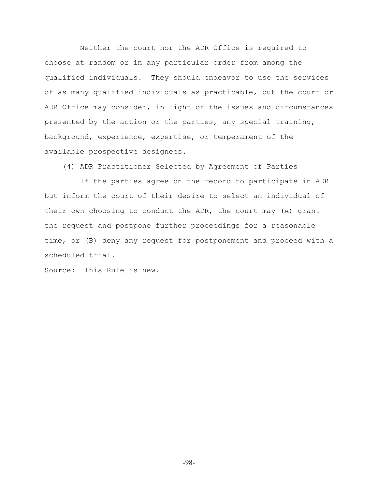Neither the court nor the ADR Office is required to choose at random or in any particular order from among the qualified individuals. They should endeavor to use the services of as many qualified individuals as practicable, but the court or ADR Office may consider, in light of the issues and circumstances presented by the action or the parties, any special training, background, experience, expertise, or temperament of the available prospective designees.

(4) ADR Practitioner Selected by Agreement of Parties

 If the parties agree on the record to participate in ADR but inform the court of their desire to select an individual of their own choosing to conduct the ADR, the court may (A) grant the request and postpone further proceedings for a reasonable time, or (B) deny any request for postponement and proceed with a scheduled trial.

Source: This Rule is new.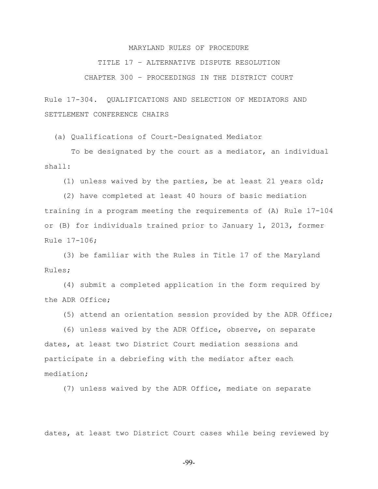TITLE 17 – ALTERNATIVE DISPUTE RESOLUTION

CHAPTER 300 – PROCEEDINGS IN THE DISTRICT COURT

Rule 17-304. QUALIFICATIONS AND SELECTION OF MEDIATORS AND SETTLEMENT CONFERENCE CHAIRS

(a) Qualifications of Court-Designated Mediator

 To be designated by the court as a mediator, an individual shall:

(1) unless waived by the parties, be at least 21 years old;

 (2) have completed at least 40 hours of basic mediation training in a program meeting the requirements of (A) Rule 17-104 or (B) for individuals trained prior to January 1, 2013, former Rule 17-106;

 (3) be familiar with the Rules in Title 17 of the Maryland Rules;

 (4) submit a completed application in the form required by the ADR Office;

(5) attend an orientation session provided by the ADR Office;

 (6) unless waived by the ADR Office, observe, on separate dates, at least two District Court mediation sessions and participate in a debriefing with the mediator after each mediation;

(7) unless waived by the ADR Office, mediate on separate

dates, at least two District Court cases while being reviewed by

-99-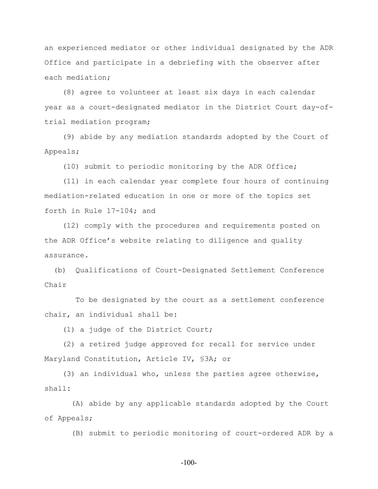an experienced mediator or other individual designated by the ADR Office and participate in a debriefing with the observer after each mediation;

 (8) agree to volunteer at least six days in each calendar year as a court-designated mediator in the District Court day-oftrial mediation program;

 (9) abide by any mediation standards adopted by the Court of Appeals;

(10) submit to periodic monitoring by the ADR Office;

 (11) in each calendar year complete four hours of continuing mediation-related education in one or more of the topics set forth in Rule 17-104; and

 (12) comply with the procedures and requirements posted on the ADR Office's website relating to diligence and quality assurance.

 (b) Qualifications of Court-Designated Settlement Conference Chair

 To be designated by the court as a settlement conference chair, an individual shall be:

(1) a judge of the District Court;

 (2) a retired judge approved for recall for service under Maryland Constitution, Article IV, §3A; or

 (3) an individual who, unless the parties agree otherwise, shall**:**

 (A) abide by any applicable standards adopted by the Court of Appeals;

(B) submit to periodic monitoring of court-ordered ADR by a

-100-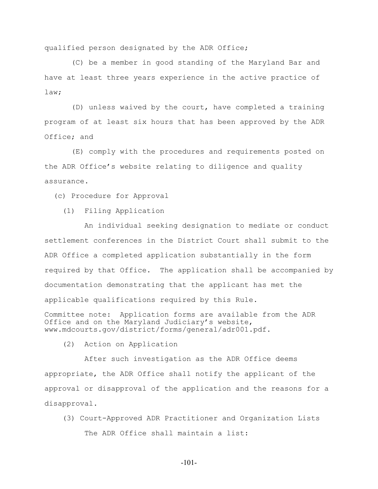qualified person designated by the ADR Office;

 (C) be a member in good standing of the Maryland Bar and have at least three years experience in the active practice of law;

 (D) unless waived by the court, have completed a training program of at least six hours that has been approved by the ADR Office; and

 (E) comply with the procedures and requirements posted on the ADR Office's website relating to diligence and quality assurance.

(c) Procedure for Approval

(1) Filing Application

 An individual seeking designation to mediate or conduct settlement conferences in the District Court shall submit to the ADR Office a completed application substantially in the form required by that Office. The application shall be accompanied by documentation demonstrating that the applicant has met the applicable qualifications required by this Rule.

Committee note: Application forms are available from the ADR Office and on the Maryland Judiciary's website, www.mdcourts.gov/district/forms/general/adr001.pdf**.**

(2) Action on Application

 After such investigation as the ADR Office deems appropriate, the ADR Office shall notify the applicant of the approval or disapproval of the application and the reasons for a disapproval.

- (3) Court-Approved ADR Practitioner and Organization Lists The ADR Office shall maintain a list:
	- -101-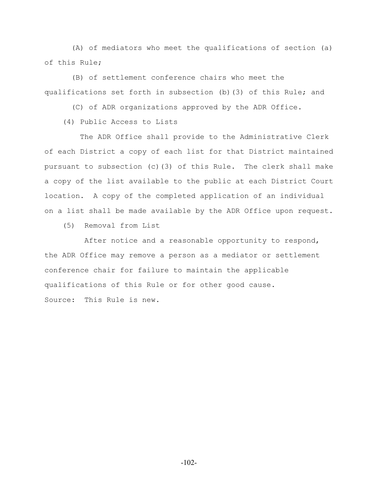(A) of mediators who meet the qualifications of section (a) of this Rule;

 (B) of settlement conference chairs who meet the qualifications set forth in subsection (b)(3) of this Rule; and

(C) of ADR organizations approved by the ADR Office.

(4) Public Access to Lists

 The ADR Office shall provide to the Administrative Clerk of each District a copy of each list for that District maintained pursuant to subsection (c)(3) of this Rule. The clerk shall make a copy of the list available to the public at each District Court location. A copy of the completed application of an individual on a list shall be made available by the ADR Office upon request.

(5) Removal from List

 After notice and a reasonable opportunity to respond, the ADR Office may remove a person as a mediator or settlement conference chair for failure to maintain the applicable qualifications of this Rule or for other good cause. Source: This Rule is new.

-102-